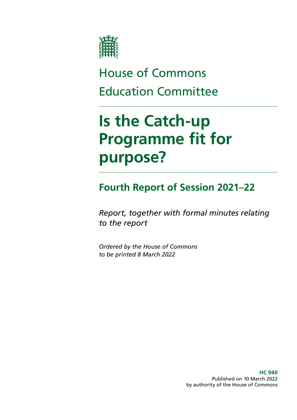

# House of Commons Education Committee

# **Is the Catch-up Programme fit for purpose?**

# **Fourth Report of Session 2021–22**

*Report, together with formal minutes relating to the report*

*Ordered by the House of Commons to be printed 8 March 2022*

> **HC 940** Published on 10 March 2022 by authority of the House of Commons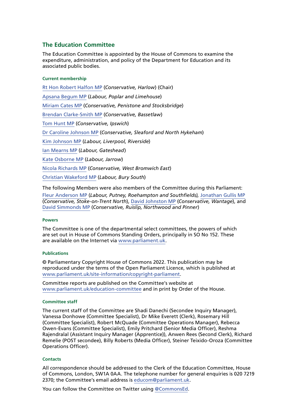### **The Education Committee**

The Education Committee is appointed by the House of Commons to examine the expenditure, administration, and policy of the Department for Education and its associated public bodies.

#### **Current membership**

[Rt Hon Robert Halfon MP](https://members.parliament.uk/member/3985/contact) (*Conservative, Harlow*) (Chair) [Apsana Begum MP](https://members.parliament.uk/member/4790/contact) (*Labour, Poplar and Limehouse*) [Miriam Cates MP](https://members.parliament.uk/member/4865/contact) (*Conservative, Penistone and Stocksbridge*) [Brendan Clarke-Smith MP](https://members.parliament.uk/member/4756/contact) (*Conservative, Bassetlaw*) [Tom Hunt MP](https://members.parliament.uk/member/4771/contact) (*Conservative, Ipswich*) [Dr Caroline Johnson MP](https://members.parliament.uk/member/4592/contact) (*Conservative, Sleaford and North Hykeham*) [Kim Johnson MP](https://members.parliament.uk/member/4824/contact) (*Labour, Liverpool, Riverside*) [Ian Mearns MP](https://members.parliament.uk/member/4000/contact) (*Labour, Gateshead*) [Kate Osborne MP](https://members.parliament.uk/member/4783/contact) (*Labour, Jarrow*) [Nicola Richards MP](https://members.parliament.uk/member/4868/contact) (*Conservative, West Bromwich East*) [Christian Wakeford MP](https://members.parliament.uk/member/4871/contact) (*Labour, Bury South*)

The following Members were also members of the Committee during this Parliament:

[Fleur Anderson MP](https://members.parliament.uk/member/4788/contact) (*Labour, Putney, Roehampton and Southfields),* [Jonathan Gullis MP](https://members.parliament.uk/member/4814/contact) (*Conservative, Stoke-on-Trent North*), [David Johnston MP](https://members.parliament.uk/member/4761/contact) (*Conservative, Wantage*), and [David Simmonds MP](https://members.parliament.uk/member/4872/contact) (*Conservative, Ruislip, Northwood and Pinner*)

#### **Powers**

The Committee is one of the departmental select committees, the powers of which are set out in House of Commons Standing Orders, principally in SO No 152. These are available on the Internet via [www.parliament.uk.](https://www.parliament.uk/)

#### **Publications**

© Parliamentary Copyright House of Commons 2022. This publication may be reproduced under the terms of the Open Parliament Licence, which is published at [www.parliament.uk/site-information/copyright-parliament.](https://www.parliament.uk/site-information/copyright-parliament/)

Committee reports are published on the Committee's website at [www.parliament.uk/education-committee](https://committees.parliament.uk/committee/203/education-committee/) and in print by Order of the House.

#### **Committee staff**

The current staff of the Committee are Shadi Danechi (Secondee Inquiry Manager), Vanessa Donhowe (Committee Specialist), Dr Mike Everett (Clerk), Rosemary Hill (Committee Specialist), Robert McQuade (Committee Operations Manager), Rebecca Owen-Evans (Committee Specialist), Emily Pritchard (Senior Media Officer), Reshma Rajendralal (Assistant Inquiry Manager (Apprentice)), Anwen Rees (Second Clerk), Richard Remelie (POST secondee), Billy Roberts (Media Officer), Steiner Teixido-Oroza (Committee Operations Officer).

#### **Contacts**

All correspondence should be addressed to the Clerk of the Education Committee, House of Commons, London, SW1A 0AA. The telephone number for general enquiries is 020 7219 2370; the Committee's email address is [educom@parliament.uk](mailto:educom%40parliament.uk?subject=).

You can follow the Committee on Twitter using [@CommonsEd.](https://twitter.com/commonsed?lang=en)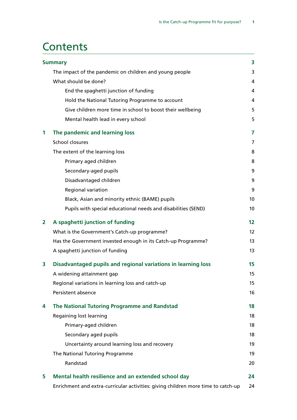## **Contents**

|                | <b>Summary</b>                                                                    | 3                 |
|----------------|-----------------------------------------------------------------------------------|-------------------|
|                | The impact of the pandemic on children and young people                           | 3                 |
|                | What should be done?                                                              | 4                 |
|                | End the spaghetti junction of funding                                             | 4                 |
|                | Hold the National Tutoring Programme to account                                   | 4                 |
|                | Give children more time in school to boost their wellbeing                        | 5                 |
|                | Mental health lead in every school                                                | 5                 |
| 1              | The pandemic and learning loss                                                    | 7                 |
|                | School closures                                                                   | 7                 |
|                | The extent of the learning loss                                                   | 8                 |
|                | Primary aged children                                                             | 8                 |
|                | Secondary-aged pupils                                                             | 9                 |
|                | Disadvantaged children                                                            | 9                 |
|                | Regional variation                                                                | 9                 |
|                | Black, Asian and minority ethnic (BAME) pupils                                    | 10                |
|                | Pupils with special educational needs and disabilities (SEND)                     | 10                |
| $\overline{2}$ | A spaghetti junction of funding                                                   | 12                |
|                | What is the Government's Catch-up programme?                                      | $12 \overline{ }$ |
|                | Has the Government invested enough in its Catch-up Programme?                     | 13                |
|                | A spaghetti junction of funding                                                   | 13                |
| 3              | Disadvantaged pupils and regional variations in learning loss                     | 15                |
|                | A widening attainment gap                                                         | 15                |
|                | Regional variations in learning loss and catch-up                                 | 15                |
|                | Persistent absence                                                                | 16                |
| 4              | The National Tutoring Programme and Randstad                                      | 18                |
|                | Regaining lost learning                                                           | 18                |
|                | Primary-aged children                                                             | 18                |
|                | Secondary aged pupils                                                             | 18                |
|                | Uncertainty around learning loss and recovery                                     | 19                |
|                | The National Tutoring Programme                                                   | 19                |
|                | Randstad                                                                          | 20                |
| 5              | Mental health resilience and an extended school day                               | 24                |
|                | Enrichment and extra-curricular activities: giving children more time to catch-up | 24                |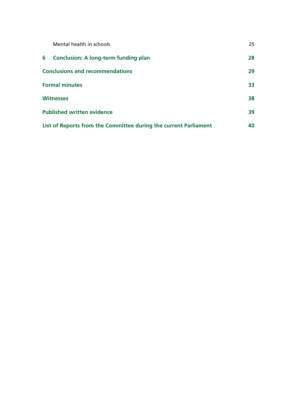| Mental health in schools                                         | 25 |
|------------------------------------------------------------------|----|
| <b>Conclusion: A long-term funding plan</b><br>6                 | 28 |
| <b>Conclusions and recommendations</b>                           | 29 |
| <b>Formal minutes</b>                                            | 33 |
| <b>Witnesses</b>                                                 | 38 |
| <b>Published written evidence</b>                                | 39 |
| List of Reports from the Committee during the current Parliament | 40 |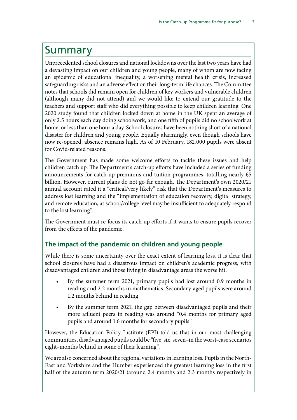# <span id="page-4-0"></span>Summary

Unprecedented school closures and national lockdowns over the last two years have had a devasting impact on our children and young people, many of whom are now facing an epidemic of educational inequality, a worsening mental health crisis, increased safeguarding risks and an adverse effect on their long-term life chances. The Committee notes that schools did remain open for children of key workers and vulnerable children (although many did not attend) and we would like to extend our gratitude to the teachers and support staff who did everything possible to keep children learning. One 2020 study found that children locked down at home in the UK spent an average of only 2.5 hours each day doing schoolwork, and one fifth of pupils did no schoolwork at home, or less than one hour a day. School closures have been nothing short of a national disaster for children and young people. Equally alarmingly, even though schools have now re-opened, absence remains high. As of 10 February, 182,000 pupils were absent for Covid-related reasons.

The Government has made some welcome efforts to tackle these issues and help children catch up. The Department's catch-up efforts have included a series of funding announcements for catch-up premiums and tuition programmes, totalling nearly £5 billion. However, current plans do not go far enough. The Department's own 2020/21 annual account rated it a "critical/very likely" risk that the Department's measures to address lost learning and the "implementation of education recovery, digital strategy, and remote education, at school/college level may be insufficient to adequately respond to the lost learning".

The Government must re-focus its catch-up efforts if it wants to ensure pupils recover from the effects of the pandemic.

## **The impact of the pandemic on children and young people**

While there is some uncertainty over the exact extent of learning loss, it is clear that school closures have had a disastrous impact on children's academic progress, with disadvantaged children and those living in disadvantage areas the worse hit.

- By the summer term 2021, primary pupils had lost around 0.9 months in reading and 2.2 months in mathematics. Secondary-aged pupils were around 1.2 months behind in reading
- By the summer term 2021, the gap between disadvantaged pupils and their more affluent peers in reading was around "0.4 months for primary aged pupils and around 1.6 months for secondary pupils"

However, the Education Policy Institute (EPI) told us that in our most challenging communities, disadvantaged pupils could be "five, six, seven–in the worst-case scenarios eight–months behind in some of their learning".

We are also concerned about the regional variations in learning loss. Pupils in the North-East and Yorkshire and the Humber experienced the greatest learning loss in the first half of the autumn term 2020/21 (around 2.4 months and 2.3 months respectively in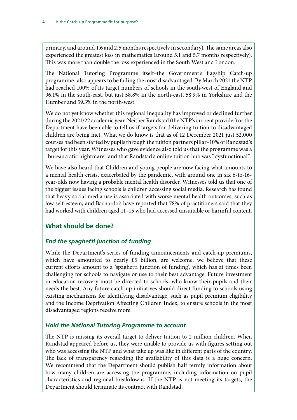<span id="page-5-0"></span>primary, and around 1.6 and 2.5 months respectively in secondary). The same areas also experienced the greatest loss in mathematics (around 5.1 and 5.7 months respectively). This was more than double the loss experienced in the South West and London.

The National Tutoring Programme itself–the Government's flagship Catch-up programme–also appears to be failing the most disadvantaged. By March 2021 the NTP had reached 100% of its target numbers of schools in the south-west of England and 96.1% in the south-east, but just 58.8% in the north-east, 58.9% in Yorkshire and the Humber and 59.3% in the north-west.

We do not yet know whether this regional inequality has improved or declined further during the 2021/22 academic year. Neither Randstad (the NTP's current provider) or the Department have been able to tell us if targets for delivering tuition to disadvantaged children are being met. What we do know is that as of 12 December 2021 just 52,000 courses had been started by pupils through the tuition partners pillar–10% of Randstad's target for this year. Witnesses who gave evidence also told us that the programme was a "bureaucratic nightmare" and that Randstad's online tuition hub was "dysfunctional".

We have also heard that Children and young people are now facing what amounts to a mental health crisis, exacerbated by the pandemic, with around one in six 6-to-16 year-olds now having a probable mental health disorder. Witnesses told us that one of the biggest issues facing schools is children accessing social media. Research has found that heavy social media use is associated with worse mental health outcomes, such as low self-esteem, and Barnardo's have reported that 78% of practitioners said that they had worked with children aged 11–15 who had accessed unsuitable or harmful content.

## **What should be done?**

## *End the spaghetti junction of funding*

While the Department's series of funding announcements and catch-up premiums, which have amounted to nearly £5 billion, are welcome, we believe that these current efforts amount to a 'spaghetti junction of funding', which has at times been challenging for schools to navigate or use to their best advantage. Future investment in education recovery must be directed to schools, who know their pupils and their needs the best. Any future catch-up initiatives should direct funding to schools using existing mechanisms for identifying disadvantage, such as pupil premium eligibility and the Income Deprivation Affecting Children Index, to ensure schools in the most disadvantaged regions receive more.

## *Hold the National Tutoring Programme to account*

The NTP is missing its overall target to deliver tuition to 2 million children. When Randstad appeared before us, they were unable to provide us with figures setting out who was accessing the NTP and what take up was like in different parts of the country. The lack of transparency regarding the availability of this data is a huge concern. We recommend that the Department should publish half termly information about how many children are accessing the programme, including information on pupil characteristics and regional breakdowns. If the NTP is not meeting its targets, the Department should terminate its contract with Randstad.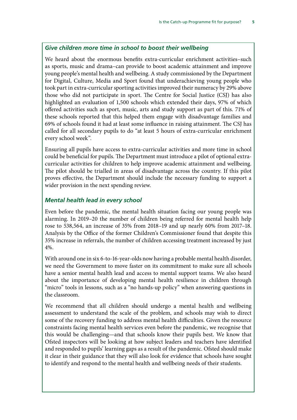### <span id="page-6-0"></span>*Give children more time in school to boost their wellbeing*

We heard about the enormous benefits extra-curricular enrichment activities–such as sports, music and drama–can provide to boost academic attainment and improve young people's mental health and wellbeing. A study commissioned by the Department for Digital, Culture, Media and Sport found that underachieving young people who took part in extra-curricular sporting activities improved their numeracy by 29% above those who did not participate in sport. The Centre for Social Justice (CSJ) has also highlighted an evaluation of 1,500 schools which extended their days, 97% of which offered activities such as sport, music, arts and study support as part of this. 71% of these schools reported that this helped them engage with disadvantage families and 69% of schools found it had at least some influence in raising attainment. The CSJ has called for all secondary pupils to do "at least 5 hours of extra-curricular enrichment every school week".

Ensuring all pupils have access to extra-curricular activities and more time in school could be beneficial for pupils. The Department must introduce a pilot of optional extracurricular activities for children to help improve academic attainment and wellbeing. The pilot should be trialled in areas of disadvantage across the country. If this pilot proves effective, the Department should include the necessary funding to support a wider provision in the next spending review.

### *Mental health lead in every school*

Even before the pandemic, the mental health situation facing our young people was alarming. In 2019–20 the number of children being referred for mental health help rose to 538,564, an increase of 35% from 2018–19 and up nearly 60% from 2017–18. Analysis by the Office of the former Children's Commissioner found that despite this 35% increase in referrals, the number of children accessing treatment increased by just 4%.

With around one in six 6-to-16-year-olds now having a probable mental health disorder, we need the Government to move faster on its commitment to make sure all schools have a senior mental health lead and access to mental support teams. We also heard about the importance of developing mental health resilience in children through "micro" tools in lessons, such as a "no hands-up policy" when answering questions in the classroom.

We recommend that all children should undergo a mental health and wellbeing assessment to understand the scale of the problem, and schools may wish to direct some of the recovery funding to address mental health difficulties. Given the resource constraints facing mental health services even before the pandemic, we recognise that this would be challenging—and that schools know their pupils best. We know that Ofsted inspectors will be looking at how subject leaders and teachers have identified and responded to pupils' learning gaps as a result of the pandemic. Ofsted should make it clear in their guidance that they will also look for evidence that schools have sought to identify and respond to the mental health and wellbeing needs of their students.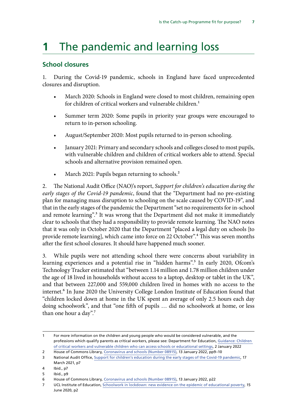# <span id="page-7-0"></span>**1** The pandemic and learning loss

### **School closures**

1. During the Covid-19 pandemic, schools in England have faced unprecedented closures and disruption.

- March 2020: Schools in England were closed to most children, remaining open for children of critical workers and vulnerable children.<sup>1</sup>
- Summer term 2020: Some pupils in priority year groups were encouraged to return to in-person schooling.
- August/September 2020: Most pupils returned to in-person schooling.
- January 2021: Primary and secondary schools and colleges closed to most pupils, with vulnerable children and children of critical workers able to attend. Special schools and alternative provision remained open.
- March 2021: Pupils began returning to schools.<sup>2</sup>

2. The National Audit Office (NAO)'s report, *Support for children's education during the early stages of the Covid-19 pandemic*, found that the "Department had no pre-existing plan for managing mass disruption to schooling on the scale caused by COVID-19", and that in the early stages of the pandemic the Department "set no requirements for in-school and remote learning".<sup>3</sup> It was wrong that the Department did not make it immediately clear to schools that they had a responsibility to provide remote learning. The NAO notes that it was only in October 2020 that the Department "placed a legal duty on schools [to provide remote learning], which came into force on 22 October".4 This was seven months after the first school closures. It should have happened much sooner.

3. While pupils were not attending school there were concerns about variability in learning experiences and a potential rise in "hidden harms".<sup>5</sup> In early 2020, Ofcom's Technology Tracker estimated that "between 1.14 million and 1.78 million children under the age of 18 lived in households without access to a laptop, desktop or tablet in the UK", and that between 227,000 and 559,000 children lived in homes with no access to the internet.<sup>6</sup> In June 2020 the University College London Institute of Education found that "children locked down at home in the UK spent an average of only 2.5 hours each day doing schoolwork", and that "one fifth of pupils … did no schoolwork at home, or less than one hour a day".7

<sup>1</sup> For more information on the children and young people who would be considered vulnerable, and the professions which qualify parents as critical workers, please see: Department for Education, [Guidance: Children](https://www.gov.uk/government/publications/coronavirus-covid-19-maintaining-educational-provision/guidance-for-schools-colleges-and-local-authorities-on-maintaining-educational-provision)  [of critical workers and vulnerable children who can access schools or educational settings](https://www.gov.uk/government/publications/coronavirus-covid-19-maintaining-educational-provision/guidance-for-schools-colleges-and-local-authorities-on-maintaining-educational-provision), 2 January 2022

<sup>2</sup> House of Commons Library*,* [Coronavirus and schools \(Number 08915\),](https://researchbriefings.files.parliament.uk/documents/CBP-8915/CBP-8915.pdf) 13 January 2022, pp9–10

<sup>3</sup> National Audit Office, [Support for children's education during the early stages of the Covid-19 pandemic](https://www.nao.org.uk/wp-content/uploads/2021/03/Support-for-childrens-education-during-the-early-stages-of-the-Covid-19-pandemic.pdf), 17 March 2021, p7

<sup>4</sup> Ibid., p7

<sup>5</sup> Ibid., p9

<sup>6</sup> House of Commons Library*,* [Coronavirus and schools \(Number 08915\),](https://researchbriefings.files.parliament.uk/documents/CBP-8915/CBP-8915.pdf) 13 January 2022, p22

<sup>7</sup> UCL Institute of Education, [Schoolwork in lockdown: new evidence on the epidemic of educational poverty](https://www.llakes.ac.uk/wp-content/uploads/2021/03/RP-67-Francis-Green-Research-Paper-combined-file.pdf), 15 June 2020, p2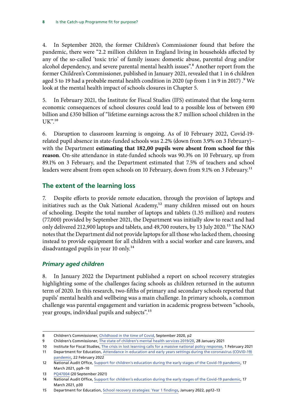<span id="page-8-0"></span>4. In September 2020, the former Children's Commissioner found that before the pandemic, there were "2.2 million children in England living in households affected by any of the so-called 'toxic trio' of family issues: domestic abuse, parental drug and/or alcohol dependency, and severe parental mental health issues".<sup>8</sup> Another report from the former Children's Commissioner, published in January 2021, revealed that 1 in 6 children aged 5 to 19 had a probable mental health condition in 2020 (up from 1 in 9 in 2017).<sup>9</sup> We look at the mental health impact of schools closures in Chapter 5.

5. In February 2021, the Institute for Fiscal Studies (IFS) estimated that the long-term economic consequences of school closures could lead to a possible loss of between £90 billion and £350 billion of "lifetime earnings across the 8.7 million school children in the  $UK"$ <sup>10</sup>

6. Disruption to classroom learning is ongoing. As of 10 February 2022, Covid-19 related pupil absence in state-funded schools was 2.2% (down from 3.9% on 3 February)– with the Department **estimating that 182,00 pupils were absent from school for this reason**. On-site attendance in state-funded schools was 90.3% on 10 February, up from 89.1% on 3 February, and the Department estimated that 7.5% of teachers and school leaders were absent from open schools on 10 February, down from 9.1% on 3 February.<sup>11</sup>

### **The extent of the learning loss**

7. Despite efforts to provide remote education, through the provision of laptops and initiatives such as the Oak National Academy, $12$  many children missed out on hours of schooling. Despite the total number of laptops and tablets (1.35 million) and routers (77,000) provided by September 2021, the Department was initially slow to react and had only delivered 212,900 laptops and tablets, and 49,700 routers, by 13 July 2020.13 The NAO notes that the Department did not provide laptops for all those who lacked them, choosing instead to provide equipment for all children with a social worker and care leavers, and disadvantaged pupils in year 10 only.<sup>14</sup>

### *Primary aged children*

8. In January 2022 the Department published a report on school recovery strategies highlighting some of the challenges facing schools as children returned in the autumn term of 2020. In this research, two-fifths of primary and secondary schools reported that pupils' mental health and wellbeing was a main challenge. In primary schools, a common challenge was parental engagement and variation in academic progress between "schools, year groups, individual pupils and subjects".15

<sup>8</sup> Children's Commissioner, [Childhood in the time of Covid,](https://www.childrenscommissioner.gov.uk/wp-content/uploads/2020/09/cco-childhood-in-the-time-of-covid.pdf) September 2020, p2

<sup>9</sup> Children's Commissioner, [The state of children's mental health services 2019/20](https://www.childrenscommissioner.gov.uk/report/mental-health-services-2019-20/), 28 January 2021

<sup>10</sup> Institute for Fiscal Studies, [The crisis in lost learning calls for a massive national policy response](https://ifs.org.uk/publications/15291), 1 February 2021

<sup>11</sup> Department for Education, Attendance in education and early years settings during the coronavirus (COVID-19) pandemic, 22 February 2022

<sup>12</sup> National Audit Office, [Support for children's education during the early stages of the Covid-19 pandemic](https://www.nao.org.uk/wp-content/uploads/2021/03/Support-for-childrens-education-during-the-early-stages-of-the-Covid-19-pandemic.pdf), 17 March 2021, pp9–10

<sup>13</sup> [PQ47004](https://questions-statements.parliament.uk/written-questions/detail/2021-09-10/47004) (20 September 2021)

<sup>14</sup> National Audit Office, [Support for children's education during the early stages of the Covid-19 pandemic](https://www.nao.org.uk/wp-content/uploads/2021/03/Support-for-childrens-education-during-the-early-stages-of-the-Covid-19-pandemic.pdf), 17 March 2021, p30

<sup>15</sup> Department for Education, [School recovery strategies: Year 1 findings](https://assets.publishing.service.gov.uk/government/uploads/system/uploads/attachment_data/file/1045471/School_Recovery_Strategies_year_1_findings.pdf), January 2022, pp12–13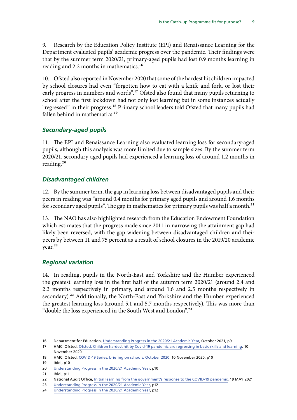<span id="page-9-0"></span>9. Research by the Education Policy Institute (EPI) and Renaissance Learning for the Department evaluated pupils' academic progress over the pandemic. Their findings were that by the summer term 2020/21, primary-aged pupils had lost 0.9 months learning in reading and 2.2 months in mathematics.<sup>16</sup>

10. Ofsted also reported in November 2020 that some of the hardest hit children impacted by school closures had even "forgotten how to eat with a knife and fork, or lost their early progress in numbers and words".<sup>17</sup> Ofsted also found that many pupils returning to school after the first lockdown had not only lost learning but in some instances actually "regressed" in their progress.<sup>18</sup> Primary school leaders told Ofsted that many pupils had fallen behind in mathematics.<sup>19</sup>

### *Secondary-aged pupils*

11. The EPI and Renaissance Learning also evaluated learning loss for secondary-aged pupils, although this analysis was more limited due to sample sizes. By the summer term 2020/21, secondary-aged pupils had experienced a learning loss of around 1.2 months in reading.<sup>20</sup>

### *Disadvantaged children*

12. By the summer term, the gap in learning loss between disadvantaged pupils and their peers in reading was "around 0.4 months for primary aged pupils and around 1.6 months for secondary aged pupils". The gap in mathematics for primary pupils was half a month. $^{21}$ 

13. The NAO has also highlighted research from the Education Endowment Foundation which estimates that the progress made since 2011 in narrowing the attainment gap had likely been reversed, with the gap widening between disadvantaged children and their peers by between 11 and 75 percent as a result of school closures in the 2019/20 academic year.<sup>22</sup>

### *Regional variation*

14. In reading, pupils in the North-East and Yorkshire and the Humber experienced the greatest learning loss in the first half of the autumn term 2020/21 (around 2.4 and 2.3 months respectively in primary, and around 1.6 and 2.5 months respectively in secondary).<sup>23</sup> Additionally, the North-East and Yorkshire and the Humber experienced the greatest learning loss (around 5.1 and 5.7 months respectively). This was more than "double the loss experienced in the South West and London".24

<sup>16</sup> Department for Education, [Understanding Progress in the 2020/21 Academic Year,](https://assets.publishing.service.gov.uk/government/uploads/system/uploads/attachment_data/file/1029841/Understanding_progress_in_the_2020-21_academic_year_Report_4_October2021.pdf) October 2021, p9

<sup>17</sup> HMCI Ofsted, [Ofsted: Children hardest hit by Covid-19 pandemic are regressing in basic skills and learning](https://www.gov.uk/government/news/ofsted-children-hardest-hit-by-covid-19-pandemic-are-regressing-in-basic-skills-and-learning), 10 November 2020

<sup>18</sup> HMCI Ofsted, [COVID-19 Series: briefing on schools, October 2020,](https://assets.publishing.service.gov.uk/government/uploads/system/uploads/attachment_data/file/933490/COVID-19_series_briefing_on_schools_October_2020.pdf) 10 November 2020, p10

<sup>19</sup> Ibid., p10

<sup>20</sup> [Understanding Progress in the 2020/21 Academic Year,](https://assets.publishing.service.gov.uk/government/uploads/system/uploads/attachment_data/file/1029841/Understanding_progress_in_the_2020-21_academic_year_Report_4_October2021.pdf) p10

<sup>21</sup> Ibid., p11

<sup>22</sup> National Audit Office, [Initial learning from the government's response to the COVID-19 pandemic,](https://www.nao.org.uk/wp-content/uploads/2021/05/Initial-learning-from-the-governments-response-to-the-COVID-19-pandemic.pdf) 19 MAY 2021

<sup>23</sup> [Understanding Progress in the 2020/21 Academic Year,](https://assets.publishing.service.gov.uk/government/uploads/system/uploads/attachment_data/file/1029841/Understanding_progress_in_the_2020-21_academic_year_Report_4_October2021.pdf) p12

<sup>24</sup> [Understanding Progress in the 2020/21 Academic Year,](https://assets.publishing.service.gov.uk/government/uploads/system/uploads/attachment_data/file/1029841/Understanding_progress_in_the_2020-21_academic_year_Report_4_October2021.pdf) p12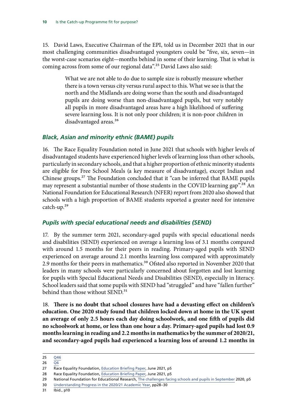<span id="page-10-0"></span>15. David Laws, Executive Chairman of the EPI, told us in December 2021 that in our most challenging communities disadvantaged youngsters could be "five, six, seven—in the worst-case scenarios eight—months behind in some of their learning. That is what is coming across from some of our regional data".<sup>25</sup> David Laws also said:

> What we are not able to do due to sample size is robustly measure whether there is a town versus city versus rural aspect to this. What we see is that the north and the Midlands are doing worse than the south and disadvantaged pupils are doing worse than non-disadvantaged pupils, but very notably all pupils in more disadvantaged areas have a high likelihood of suffering severe learning loss. It is not only poor children; it is non-poor children in disadvantaged areas.<sup>26</sup>

### *Black, Asian and minority ethnic (BAME) pupils*

16. The Race Equality Foundation noted in June 2021 that schools with higher levels of disadvantaged students have experienced higher levels of learning loss than other schools, particularly in secondary schools, and that a higher proportion of ethnic minority students are eligible for Free School Meals (a key measure of disadvantage), except Indian and Chinese groups.27 The Foundation concluded that it "can be inferred that BAME pupils may represent a substantial number of those students in the COVID learning gap".<sup>28</sup> An National Foundation for Educational Research (NFER) report from 2020 also showed that schools with a high proportion of BAME students reported a greater need for intensive catch-up.29

### *Pupils with special educational needs and disabilities (SEND)*

17. By the summer term 2021, secondary-aged pupils with special educational needs and disabilities (SEND) experienced on average a learning loss of 3.1 months compared with around 1.5 months for their peers in reading. Primary-aged pupils with SEND experienced on average around 2.1 months learning loss compared with approximately 2.9 months for their peers in mathematics.<sup>30</sup> Ofsted also reported in November 2020 that leaders in many schools were particularly concerned about forgotten and lost learning for pupils with Special Educational Needs and Disabilities (SEND), especially in literacy. School leaders said that some pupils with SEND had "struggled" and have "fallen further" behind than those without SEND.<sup>31</sup>

18. **There is no doubt that school closures have had a devasting effect on children's education. One 2020 study found that children locked down at home in the UK spent an average of only 2.5 hours each day doing schoolwork, and one fifth of pupils did no schoolwork at home, or less than one hour a day. Primary-aged pupils had lost 0.9 months learning in reading and 2.2 months in mathematics by the summer of 2020/21, and secondary-aged pupils had experienced a learning loss of around 1.2 months in** 

<sup>25</sup> [Q46](https://committees.parliament.uk/oralevidence/3149/pdf/)

<sup>26</sup>  $\overline{Q6}$  $\overline{Q6}$  $\overline{Q6}$ 

<sup>27</sup> Race Equality Foundation, [Education Briefing Paper,](https://raceequalityfoundation.org.uk/wp-content/uploads/2021/06/Collaborative-briefing-education-FINAL-1.pdf) June 2021, p5

<sup>28</sup> Race Equality Foundation, [Education Briefing Paper,](https://raceequalityfoundation.org.uk/wp-content/uploads/2021/06/Collaborative-briefing-education-FINAL-1.pdf) June 2021, p5

<sup>29</sup> National Foundation for Educational Research, [The challenges facing schools and pupils in September](https://files.eric.ed.gov/fulltext/ED608738.pdf) 2020, p5

<sup>30</sup> [Understanding Progress in the 2020/21 Academic Year,](https://assets.publishing.service.gov.uk/government/uploads/system/uploads/attachment_data/file/1029841/Understanding_progress_in_the_2020-21_academic_year_Report_4_October2021.pdf) pp28–30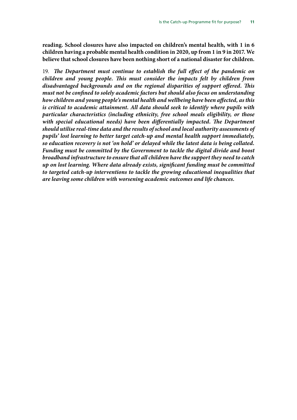**reading. School closures have also impacted on children's mental health, with 1 in 6 children having a probable mental health condition in 2020, up from 1 in 9 in 2017. We believe that school closures have been nothing short of a national disaster for children.**

19. *The Department must continue to establish the full effect of the pandemic on children and young people. This must consider the impacts felt by children from disadvantaged backgrounds and on the regional disparities of support offered. This must not be confined to solely academic factors but should also focus on understanding how children and young people's mental health and wellbeing have been affected, as this is critical to academic attainment. All data should seek to identify where pupils with particular characteristics (including ethnicity, free school meals eligibility, or those*  with special educational needs) have been differentially impacted. The Department *should utilise real-time data and the results of school and local authority assessments of pupils' lost learning to better target catch-up and mental health support immediately, so education recovery is not 'on hold' or delayed while the latest data is being collated. Funding must be committed by the Government to tackle the digital divide and boost broadband infrastructure to ensure that all children have the support they need to catch up on lost learning. Where data already exists, significant funding must be committed to targeted catch-up interventions to tackle the growing educational inequalities that are leaving some children with worsening academic outcomes and life chances.*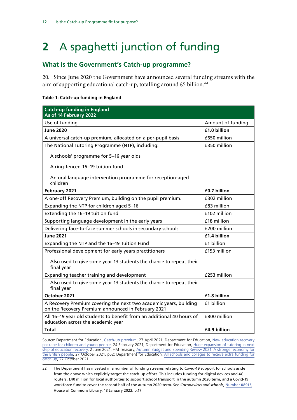# <span id="page-12-0"></span>**2** A spaghetti junction of funding

### **What is the Government's Catch-up programme?**

20. Since June 2020 the Government have announced several funding streams with the aim of supporting educational catch-up, totalling around £5 billion.<sup>32</sup>

#### **Table 1: Catch-up funding in England**

| <b>Catch-up funding in England</b><br>As of 14 February 2022                                                            |                   |
|-------------------------------------------------------------------------------------------------------------------------|-------------------|
| Use of funding                                                                                                          | Amount of funding |
| <b>June 2020</b>                                                                                                        | £1.0 billion      |
| A universal catch-up premium, allocated on a per-pupil basis                                                            | £650 million      |
| The National Tutoring Programme (NTP), including:                                                                       | £350 million      |
| A schools' programme for 5-16 year olds                                                                                 |                   |
| A ring-fenced 16-19 tuition fund                                                                                        |                   |
| An oral language intervention programme for reception-aged<br>children                                                  |                   |
| February 2021                                                                                                           | £0.7 billion      |
| A one-off Recovery Premium, building on the pupil premium.                                                              | £302 million      |
| Expanding the NTP for children aged 5-16                                                                                | £83 million       |
| Extending the 16-19 tuition fund                                                                                        | £102 million      |
| Supporting language development in the early years                                                                      | £18 million       |
| Delivering face-to-face summer schools in secondary schools                                                             | £200 million      |
| <b>June 2021</b>                                                                                                        | £1.4 billion      |
| Expanding the NTP and the 16-19 Tuition Fund                                                                            | £1 billion        |
| Professional development for early years practitioners                                                                  | £153 million      |
| Also used to give some year 13 students the chance to repeat their<br>final year                                        |                   |
| Expanding teacher training and development                                                                              | £253 million      |
| Also used to give some year 13 students the chance to repeat their<br>final year                                        |                   |
| October 2021                                                                                                            | £1.8 billion      |
| A Recovery Premium covering the next two academic years, building<br>on the Recovery Premium announced in February 2021 | £1 billion        |
| All 16-19 year old students to benefit from an additional 40 hours of<br>education across the academic year             | £800 million      |
| <b>Total</b>                                                                                                            | £4.9 billion      |

Source: Department for Education, [Catch-up premium,](https://www.gov.uk/government/publications/catch-up-premium-coronavirus-covid-19/catch-up-premium) 27 April 2021; Department for Education, [New education recovery](https://www.gov.uk/government/news/new-education-recovery-package-for-children-and-young-people) [package for children and young people,](https://www.gov.uk/government/news/new-education-recovery-package-for-children-and-young-people) 24 February 2021; Department for Education, [Huge expansion of tutoring in next](https://www.gov.uk/government/news/huge-expansion-of-tutoring-in-next-step-of-education-recovery) [step of education recovery](https://www.gov.uk/government/news/huge-expansion-of-tutoring-in-next-step-of-education-recovery), 2 June 2021; HM Treasury, [Autumn Budget and Spending Review 2021: A stronger economy for](https://assets.publishing.service.gov.uk/government/uploads/system/uploads/attachment_data/file/1043688/Budget_AB2021_Print.pdf) [the British people](https://assets.publishing.service.gov.uk/government/uploads/system/uploads/attachment_data/file/1043688/Budget_AB2021_Print.pdf), 27 October 2021, p52; Department for Education, [All schools and colleges to receive extra funding for](https://www.gov.uk/government/news/all-schools-and-colleges-to-receive-extra-funding-for-catch-up) [catch up](https://www.gov.uk/government/news/all-schools-and-colleges-to-receive-extra-funding-for-catch-up), 27 October 2021

<sup>32</sup> The Department has invested in a number of funding streams relating to Covid-19 support for schools aside from the above which explicitly target the catch-up effort. This includes funding for digital devices and 4G routers, £40 million for local authorities to support school transport in the autumn 2020 term, and a Covid-19 workforce fund to cover the second half of the autumn 2020 term. See *Coronavirus and schools,* [Number 08915](https://researchbriefings.files.parliament.uk/documents/CBP-8915/CBP-8915.pdf), House of Commons Library, 13 January 2022, p.17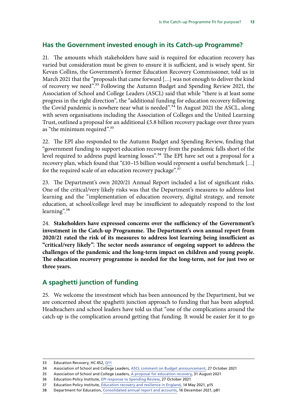## <span id="page-13-0"></span>**Has the Government invested enough in its Catch-up Programme?**

21. The amounts which stakeholders have said is required for education recovery has varied but consideration must be given to ensure it is sufficient, and is wisely spent. Sir Kevan Collins, the Government's former Education Recovery Commissioner, told us in March 2021 that the "proposals that came forward […] was not enough to deliver the kind of recovery we need".33 Following the Autumn Budget and Spending Review 2021, the Association of School and College Leaders (ASCL) said that while "there is at least some progress in the right direction", the "additional funding for education recovery following the Covid pandemic is nowhere near what is needed".34 In August 2021 the ASCL, along with seven organisations including the Association of Colleges and the United Learning Trust, outlined a proposal for an additional £5.8 billion recovery package over three years as "the minimum required".<sup>35</sup>

22. The EPI also responded to the Autumn Budget and Spending Review, finding that "government funding to support education recovery from the pandemic falls short of the level required to address pupil learning losses".<sup>36</sup> The EPI have set out a proposal for a recovery plan, which found that "£10–15 billion would represent a useful benchmark […] for the required scale of an education recovery package".<sup>37</sup>

23. The Department's own 2020/21 Annual Report included a list of significant risks. One of the critical/very likely risks was that the Department's measures to address lost learning and the "implementation of education recovery, digital strategy, and remote education, at school/college level may be insufficient to adequately respond to the lost learning".<sup>38</sup>

24. **Stakeholders have expressed concerns over the sufficiency of the Government's investment in the Catch-up Programme. The Department's own annual report from 2020/21 rated the risk of its measures to address lost learning being insufficient as "critical/very likely". The sector needs assurance of ongoing support to address the challenges of the pandemic and the long-term impact on children and young people. The education recovery programme is needed for the long-term, not for just two or three years.**

## **A spaghetti junction of funding**

25. We welcome the investment which has been announced by the Department, but we are concerned about the spaghetti junction approach to funding that has been adopted. Headteachers and school leaders have told us that "one of the complications around the catch-up is the complication around getting that funding. It would be easier for it to go

<sup>33</sup> Education Recovery, HC 452, [Q11](https://committees.parliament.uk/oralevidence/2466/pdf/)

<sup>34</sup> Association of School and College Leaders, [ASCL comment on Budget announcement](https://www.ascl.org.uk/News/Our-news-and-press-releases/ASCL-comment-on-Budget-announcement), 27 October 2021

<sup>35</sup> Association of School and College Leaders, [A proposal for education recovery,](https://www.ascl.org.uk/ASCL/media/ASCL/News/Press%20releases/A-proposal-for-education-recovery-31-08-21.pdf) 31 August 2021

<sup>36</sup> Education Policy Institute, [EPI response to Spending Review](https://epi.org.uk/comments/epi-response-to-spending-review/), 27 October 2021

<sup>37</sup> Education Policy Institute, [Education recovery and resilience in England,](https://epi.org.uk/publications-and-research/education-recovery-and-resilience-in-england/) 14 May 2021, p15

<sup>38</sup> Department for Education, [Consolidated annual report and accounts](https://assets.publishing.service.gov.uk/government/uploads/system/uploads/attachment_data/file/1041620/CCS0121879180-001_DFE_Annual_Report_20-21_Web-Accessible.pdf), 16 December 2021, p81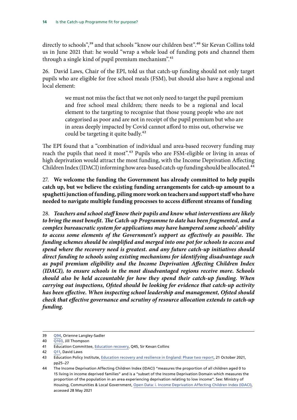directly to schools",<sup>39</sup> and that schools "know our children best".<sup>40</sup> Sir Kevan Collins told us in June 2021 that: he would "wrap a whole load of funding pots and channel them through a single kind of pupil premium mechanism".<sup>41</sup>

26. David Laws, Chair of the EPI, told us that catch-up funding should not only target pupils who are eligible for free school meals (FSM), but should also have a regional and local element:

> we must not miss the fact that we not only need to target the pupil premium and free school meal children; there needs to be a regional and local element to the targeting to recognise that those young people who are not categorised as poor and are not in receipt of the pupil premium but who are in areas deeply impacted by Covid cannot afford to miss out, otherwise we could be targeting it quite badly.<sup>42</sup>

The EPI found that a "combination of individual and area-based recovery funding may reach the pupils that need it most".<sup>43</sup> Pupils who are FSM-eligible or living in areas of high deprivation would attract the most funding, with the Income Deprivation Affecting Children Index (IDACI) informing how area-based catch-up funding should be allocated.<sup>44</sup>

27. **We welcome the funding the Government has already committed to help pupils catch up, but we believe the existing funding arrangements for catch-up amount to a spaghetti junction of funding, piling more work on teachers and support staff who have needed to navigate multiple funding processes to access different streams of funding**

28. *Teachers and school staff know their pupils and know what interventions are likely to bring the most benefit. The Catch-up Programme to date has been fragmented, and a complex bureaucratic system for applications may have hampered some schools' ability to access some elements of the Government's support as effectively as possible. The funding schemes should be simplified and merged into one pot for schools to access and spend where the recovery need is greatest. and any future catch-up initiatives should direct funding to schools using existing mechanisms for identifying disadvantage such as pupil premium eligibility and the Income Deprivation Affecting Children Index (IDACI), to ensure schools in the most disadvantaged regions receive more. Schools should also be held accountable for how they spend their catch-up funding. When carrying out inspections, Ofsted should be looking for evidence that catch-up activity has been effective. When inspecting school leadership and management, Ofsted should check that effective governance and scrutiny of resource allocation extends to catch-up funding.*

<sup>39</sup> [Q94,](https://committees.parliament.uk/oralevidence/3332/pdf/) Orienne Langley-Sadler

<sup>40</sup> [Q103,](https://committees.parliament.uk/oralevidence/3332/pdf/) Jill Thompson

<sup>41</sup> Education Committee, [Education recovery,](https://committees.parliament.uk/oralevidence/2466/pdf/) Q45, Sir Kevan Collins

<sup>42</sup> [Q11](https://committees.parliament.uk/oralevidence/3149/pdf/), David Laws

<sup>43</sup> Education Policy Institute, Education recovery and resilience in England: Phase two report, 21 October 2021, pp25–27

<sup>44</sup> The Income Deprivation Affecting Children Index (IDACI) "measures the proportion of all children aged 0 to 15 living in income deprived families" and is a "subset of the Income Deprivation Domain which measures the proportion of the population in an area experiencing deprivation relating to low income". See: Ministry of Housing, Communities & Local Government, [Open Data: i. Income Deprivation Affecting Children Index \(IDACI\)](https://opendatacommunities.org/def/concept/general-concepts/imd/idaci), accessed 28 May 2021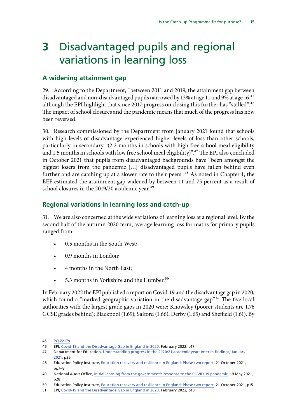# <span id="page-15-0"></span>**3** Disadvantaged pupils and regional variations in learning loss

### **A widening attainment gap**

29. According to the Department, "between 2011 and 2019, the attainment gap between disadvantaged and non-disadvantaged pupils narrowed by 13% at age 11 and 9% at age 16,<sup>45</sup> although the EPI highlight that since 2017 progress on closing this further has "stalled".<sup>46</sup> The impact of school closures and the pandemic means that much of the progress has now been reversed.

30. Research commissioned by the Department from January 2021 found that schools with high levels of disadvantage experienced higher levels of loss than other schools, particularly in secondary "(2.2 months in schools with high free school meal eligibility and 1.5 months in schools with low free school meal eligibility)".<sup>47</sup> The EPI also concluded in October 2021 that pupils from disadvantaged backgrounds have "been amongst the biggest losers from the pandemic […] disadvantaged pupils have fallen behind even further and are catching up at a slower rate to their peers".<sup>48</sup> As noted in Chapter 1, the EEF estimated the attainment gap widened by between 11 and 75 percent as a result of school closures in the 2019/20 academic year.<sup>49</sup>

### **Regional variations in learning loss and catch-up**

31. We are also concerned at the wide variations of learning loss at a regional level. By the second half of the autumn 2020 term, average learning loss for maths for primary pupils ranged from:

- 0.5 months in the South West;
- 0.9 months in London;
- 4 months in the North East;
- 5.3 months in Yorkshire and the Humber.<sup>50</sup>

In February 2022 the EPI published a report on Covid-19 and the disadvantage gap in 2020, which found a "marked geographic variation in the disadvantage gap".<sup>51</sup> The five local authorities with the largest grade gaps in 2020 were: Knowsley (poorer students are 1.76 GCSE grades behind); Blackpool (1.69); Salford (1.66); Derby (1.65) and Sheffield (1.61). By

<sup>45</sup> PQ [22179](https://questions-statements.parliament.uk/written-questions/detail/2021-06-25/22179)

<sup>46</sup> EPI, [Covid-19 and the Disadvantage Gap in England in 2020](https://epi.org.uk/wp-content/uploads/2022/02/EPI-Disadvantage_Gaps_in_England_2022.pdf), February 2022, p17

<sup>47</sup> Department for Education, [Understanding progress in the 2020/21 academic year: Interim findings, January](https://assets.publishing.service.gov.uk/government/uploads/system/uploads/attachment_data/file/962330/Learning_Loss_Report_1A_-_FINAL.pdf) [2021](https://assets.publishing.service.gov.uk/government/uploads/system/uploads/attachment_data/file/962330/Learning_Loss_Report_1A_-_FINAL.pdf), p36

<sup>48</sup> Education Policy Institute, Education recovery and resilience in England: Phase two report, 21 October 2021, pp7–8

<sup>49</sup> National Audit Office, [Initial learning from the government's response to the COVID-19 pandemic,](https://www.nao.org.uk/wp-content/uploads/2021/05/Initial-learning-from-the-governments-response-to-the-COVID-19-pandemic.pdf) 19 May 2021, p28

<sup>50</sup> Education Policy Institute, Education recovery and resilience in England: Phase two report, 21 October 2021, p15

<sup>51</sup> EPI, [Covid-19 and the Disadvantage Gap in England in 2020](https://epi.org.uk/wp-content/uploads/2022/02/EPI-Disadvantage_Gaps_in_England_2022.pdf), February 2022, p10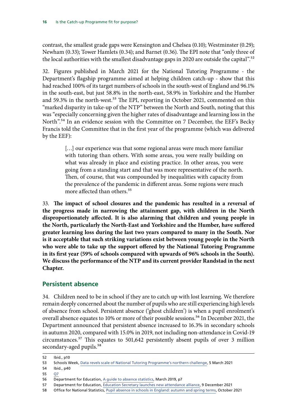<span id="page-16-0"></span>contrast, the smallest grade gaps were Kensington and Chelsea (0.10); Westminster (0.29); Newham (0.33); Tower Hamlets (0.34); and Barnet (0.36). The EPI note that "only three of the local authorities with the smallest disadvantage gaps in 2020 are outside the capital".<sup>52</sup>

32. Figures published in March 2021 for the National Tutoring Programme - the Department's flagship programme aimed at helping children catch-up - show that this had reached 100% of its target numbers of schools in the south-west of England and 96.1% in the south-east, but just 58.8% in the north-east, 58.9% in Yorkshire and the Humber and 59.3% in the north-west.<sup>53</sup> The EPI, reporting in October 2021, commented on this "marked disparity in take-up of the NTP" between the North and South, noting that this was "especially concerning given the higher rates of disadvantage and learning loss in the North".<sup>54</sup> In an evidence session with the Committee on 7 December, the EEF's Becky Francis told the Committee that in the first year of the programme (which was delivered by the EEF):

> [...] our experience was that some regional areas were much more familiar with tutoring than others. With some areas, you were really building on what was already in place and existing practice. In other areas, you were going from a standing start and that was more representative of the north. Then, of course, that was compounded by inequalities with capacity from the prevalence of the pandemic in different areas. Some regions were much more affected than others.<sup>55</sup>

33. **The impact of school closures and the pandemic has resulted in a reversal of the progress made in narrowing the attainment gap, with children in the North disproportionately affected. It is also alarming that children and young people in the North, particularly the North-East and Yorkshire and the Humber, have suffered greater learning loss during the last two years compared to many in the South. Nor is it acceptable that such striking variations exist between young people in the North who were able to take up the support offered by the National Tutoring Programme in its first year (59% of schools compared with upwards of 96% schools in the South). We discuss the performance of the NTP and its current provider Randstad in the next Chapter.**

### **Persistent absence**

34. Children need to be in school if they are to catch up with lost learning. We therefore remain deeply concerned about the number of pupils who are still experiencing high levels of absence from school. Persistent absence ('ghost children') is when a pupil enrolment's overall absence equates to 10% or more of their possible sessions.<sup>56</sup> In December 2021, the Department announced that persistent absence increased to 16.3% in secondary schools in autumn 2020, compared with 15.0% in 2019, not including non-attendance in Covid-19 circumstances.57 This equates to 501,642 persistently absent pupils of over 3 million secondary-aged pupils.<sup>58</sup>

55 [Q7](https://committees.parliament.uk/oralevidence/3149/pdf/)

58 Office for National Statistics, [Pupil absence in schools in England: autumn and spring terms,](https://explore-education-statistics.service.gov.uk/data-tables/permalink/ed2b318b-a71a-45a8-8beb-ea5141705e36) October 2021

<sup>52</sup> Ibid., p10

<sup>53</sup> Schools Week, [Data revels scale of National Tutoring Programme's northern challenge](https://schoolsweek.co.uk/data-reveals-scale-of-national-tutoring-programmes-northern-challenge/), 5 March 2021

<sup>54</sup> Ibid., p40

<sup>56</sup> Department for Education, [A guide to absence statistics,](https://assets.publishing.service.gov.uk/government/uploads/system/uploads/attachment_data/file/787314/Guide_to_absence_statistics_21032019.pdf) March 2019, p7

<sup>57</sup> Department for Education, [Education Secretary launches new attendance alliance,](https://www.gov.uk/government/news/education-secretary-launches-new-attendance-alliance) 9 December 2021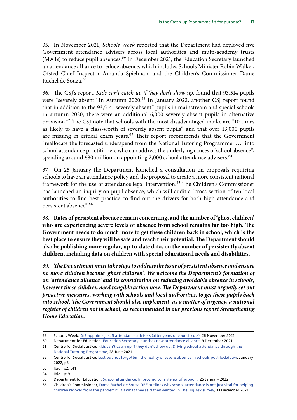35. In November 2021, *Schools Week* reported that the Department had deployed five Government attendance advisers across local authorities and multi-academy trusts (MATs) to reduce pupil absences.<sup>59</sup> In December 2021, the Education Secretary launched an attendance alliance to reduce absence, which includes Schools Minister Robin Walker, Ofsted Chief Inspector Amanda Spielman, and the Children's Commissioner Dame Rachel de Souza.<sup>60</sup>

36. The CSJ's report, *Kids can't catch up if they don't show up*, found that 93,514 pupils were "severely absent" in Autumn 2020.<sup>61</sup> In January 2022, another CSJ report found that in addition to the 93,514 "severely absent" pupils in mainstream and special schools in autumn 2020, there were an additional 6,000 severely absent pupils in alternative provision.62 The CSJ note that schools with the most disadvantaged intake are "10 times as likely to have a class-worth of severely absent pupils" and that over 13,000 pupils are missing in critical exam years.<sup>63</sup> Their report recommends that the Government "reallocate the forecasted underspend from the National Tutoring Programme […] into school attendance practitioners who can address the underlying causes of school absence", spending around £80 million on appointing 2,000 school attendance advisers.<sup>64</sup>

37. On 25 January the Department launched a consultation on proposals requiring schools to have an attendance policy and the proposal to create a more consistent national framework for the use of attendance legal intervention.<sup>65</sup> The Children's Commissioner has launched an inquiry on pupil absence, which will audit a "cross-section of ten local authorities to find best practice–to find out the drivers for both high attendance and persistent absence".<sup>66</sup>

38. **Rates of persistent absence remain concerning, and the number of 'ghost children' who are experiencing severe levels of absence from school remains far too high. The Government needs to do much more to get these children back in school, which is the best place to ensure they will be safe and reach their potential. The Department should also be publishing more regular, up-to-date data, on the number of persistently absent children, including data on children with special educational needs and disabilities.**

39. *The Department must take steps to address the issue of persistent absence and ensure no more children become 'ghost children'. We welcome the Department's formation of an 'attendance alliance' and its consultation on reducing avoidable absence in schools, however these children need tangible action now. The Department must urgently set out proactive measures, working with schools and local authorities, to get these pupils back into school. The Government should also implement, as a matter of urgency, a national register of children not in school, as recommended in our previous report Strengthening Home Education.*

<sup>59</sup> Schools Week, [DfE appoints just 5 attendance advisers \(after years of council cuts\)](https://schoolsweek.co.uk/dfe-appoints-just-5-attendance-advisers-after-years-of-council-cuts/), 26 November 2021

<sup>60</sup> Department for Education, [Education Secretary launches new attendance alliance,](https://www.gov.uk/government/news/education-secretary-launches-new-attendance-alliance) 9 December 2021

<sup>61</sup> Centre for Social Justice, [Kids can't catch up if they don't show up: Driving school attendance through the](https://www.centreforsocialjustice.org.uk/wp-content/uploads/2021/06/Cant_Catch_Up_FULL-REPORT.pdf)  [National Tutoring Programme,](https://www.centreforsocialjustice.org.uk/wp-content/uploads/2021/06/Cant_Catch_Up_FULL-REPORT.pdf) 28 June 2021

<sup>62</sup> Centre for Social Justice, [Lost but not forgotten: the reality of severe absence in schools post-lockdown,](https://www.centreforsocialjustice.org.uk/wp-content/uploads/2022/01/CSJ-Lost_but_not_forgotten-2.pdf) January 2022, p3

<sup>63</sup> Ibid., p2, p11

<sup>64</sup> Ibid., p19

<sup>65</sup> Department for Education, [School attendance: Improving consistency of support](https://consult.education.gov.uk/school-attendance-policy-and-strategy-team/school-attendance-improving-consistency-of-support/), 25 January 2022

<sup>66</sup> Children's Commissioner, [Dame Rachel de Souza DBE outlines why school attendance is not just vital for helping](https://www.childrenscommissioner.gov.uk/2021/12/13/dame-rachel-de-souza-dbe-outlines-why-school-attendance-is-not-just-vital-for-helping-children-recover-from-the-pandemic-its-what-they-said-they-wanted-in-the-big-ask-survey/)  [children recover from the pandemic, it's what they said they wanted in The Big Ask survey](https://www.childrenscommissioner.gov.uk/2021/12/13/dame-rachel-de-souza-dbe-outlines-why-school-attendance-is-not-just-vital-for-helping-children-recover-from-the-pandemic-its-what-they-said-they-wanted-in-the-big-ask-survey/), 13 December 2021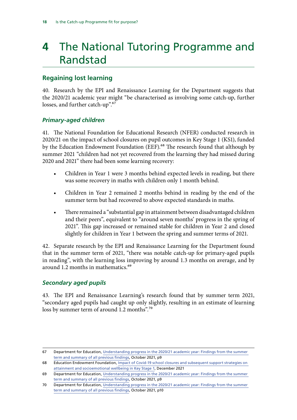# <span id="page-18-0"></span>**4** The National Tutoring Programme and Randstad

## **Regaining lost learning**

40. Research by the EPI and Renaissance Learning for the Department suggests that the 2020/21 academic year might "be characterised as involving some catch-up, further losses, and further catch-up".<sup>67</sup>

### *Primary-aged children*

41. The National Foundation for Educational Research (NFER) conducted research in 2020/21 on the impact of school closures on pupil outcomes in Key Stage 1 (KS1), funded by the Education Endowment Foundation (EEF).<sup>68</sup> The research found that although by summer 2021 "children had not yet recovered from the learning they had missed during 2020 and 2021" there had been some learning recovery:

- Children in Year 1 were 3 months behind expected levels in reading, but there was some recovery in maths with children only 1 month behind.
- Children in Year 2 remained 2 months behind in reading by the end of the summer term but had recovered to above expected standards in maths.
- There remained a "substantial gap in attainment between disadvantaged children and their peers", equivalent to "around seven months' progress in the spring of 2021". This gap increased or remained stable for children in Year 2 and closed slightly for children in Year 1 between the spring and summer terms of 2021.

42. Separate research by the EPI and Renaissance Learning for the Department found that in the summer term of 2021, "there was notable catch-up for primary-aged pupils in reading", with the learning loss improving by around 1.3 months on average, and by around 1.2 months in mathematics.<sup>69</sup>

### *Secondary aged pupils*

43. The EPI and Renaissance Learning's research found that by summer term 2021, "secondary aged pupils had caught up only slightly, resulting in an estimate of learning loss by summer term of around 1.2 months".<sup>70</sup>

<sup>67</sup> Department for Education, [Understanding progress in the 2020/21 academic year: Findings from the summer](https://assets.publishing.service.gov.uk/government/uploads/system/uploads/attachment_data/file/1029841/Understanding_progress_in_the_2020-21_academic_year_Report_4_October2021.pdf)  [term and summary of all previous findings,](https://assets.publishing.service.gov.uk/government/uploads/system/uploads/attachment_data/file/1029841/Understanding_progress_in_the_2020-21_academic_year_Report_4_October2021.pdf) October 2021, p9

<sup>68</sup> Education Endowment Foundation, [Impact of Covid-19 school closures and subsequent support strategies on](https://educationendowmentfoundation.org.uk/projects-and-evaluation/projects/nfer-impact-of-school-closures-and-subsequent-support-strategies-on-attainment-and-socioemotional-wellbeing-in-key-stage-1?utm_source=/projects-and-evaluation/projects/nfer-impact-of-school-closures-and-subsequent-support-strategies-on-attainment-and-socioemotional-wellbeing-in-key-stage-1&utm_medium=search&utm_campaign=site_search&search_term=impact%20of)  [attainment and socioemotional wellbeing in Key Stage 1](https://educationendowmentfoundation.org.uk/projects-and-evaluation/projects/nfer-impact-of-school-closures-and-subsequent-support-strategies-on-attainment-and-socioemotional-wellbeing-in-key-stage-1?utm_source=/projects-and-evaluation/projects/nfer-impact-of-school-closures-and-subsequent-support-strategies-on-attainment-and-socioemotional-wellbeing-in-key-stage-1&utm_medium=search&utm_campaign=site_search&search_term=impact%20of), December 2021

<sup>69</sup> Department for Education, [Understanding progress in the 2020/21 academic year: Findings from the summer](https://assets.publishing.service.gov.uk/government/uploads/system/uploads/attachment_data/file/1029841/Understanding_progress_in_the_2020-21_academic_year_Report_4_October2021.pdf)  [term and summary of all previous findings,](https://assets.publishing.service.gov.uk/government/uploads/system/uploads/attachment_data/file/1029841/Understanding_progress_in_the_2020-21_academic_year_Report_4_October2021.pdf) October 2021, p9

<sup>70</sup> Department for Education, [Understanding progress in the 2020/21 academic year: Findings from the summer](https://assets.publishing.service.gov.uk/government/uploads/system/uploads/attachment_data/file/1029841/Understanding_progress_in_the_2020-21_academic_year_Report_4_October2021.pdf)  [term and summary of all previous findings,](https://assets.publishing.service.gov.uk/government/uploads/system/uploads/attachment_data/file/1029841/Understanding_progress_in_the_2020-21_academic_year_Report_4_October2021.pdf) October 2021, p10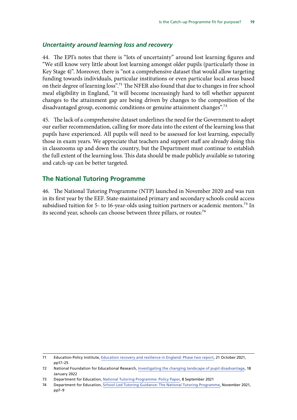#### <span id="page-19-0"></span>*Uncertainty around learning loss and recovery*

44. The EPI's notes that there is "lots of uncertainty" around lost learning figures and "We still know very little about lost learning amongst older pupils (particularly those in Key Stage 4)". Moreover, there is "not a comprehensive dataset that would allow targeting funding towards individuals, particular institutions or even particular local areas based on their degree of learning loss".71 The NFER also found that due to changes in free school meal eligibility in England, "it will become increasingly hard to tell whether apparent changes to the attainment gap are being driven by changes to the composition of the disadvantaged group, economic conditions or genuine attainment changes".<sup>72</sup>

45. The lack of a comprehensive dataset underlines the need for the Government to adopt our earlier recommendation, calling for more data into the extent of the learning loss that pupils have experienced. All pupils will need to be assessed for lost learning, especially those in exam years. We appreciate that teachers and support staff are already doing this in classrooms up and down the country, but the Department must continue to establish the full extent of the learning loss. This data should be made publicly available so tutoring and catch-up can be better targeted.

#### **The National Tutoring Programme**

46. The National Tutoring Programme (NTP) launched in November 2020 and was run in its first year by the EEF. State-maintained primary and secondary schools could access subsidised tuition for 5- to 16-year-olds using tuition partners or academic mentors.<sup>73</sup> In its second year, schools can choose between three pillars, or routes:<sup>74</sup>

<sup>71</sup> Education Policy Institute, [Education recovery and resilience in England: Phase two report,](https://epi.org.uk/publications-and-research/education-recovery-and-resilience-in-england-phase-two-report-october-2021/) 21 October 2021, pp17–25

<sup>72</sup> National Foundation for Educational Research, [Investigating the changing landscape of pupil disadvantage,](https://www.nfer.ac.uk/investigating-the-changing-landscape-of-pupil-disadvantage/) 18 January 2022

<sup>73</sup> Department for Education, [National Tutoring Programme: Policy Paper,](https://www.gov.uk/government/publications/national-tutoring-programme-ntp/national-tutoring-programme-ntp) 8 September 2021

<sup>74</sup> Department for Education, [School-Led Tutoring Guidance: The National Tutoring Programme,](https://assets.publishing.service.gov.uk/government/uploads/system/uploads/attachment_data/file/1031705/School-Led_Tutoring_Guidance.pdf) November 2021, pp7–9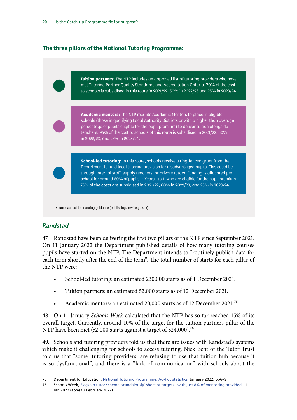### <span id="page-20-0"></span>**The three pillars of the National Tutoring Programme:**

**Tuition partners:** The NTP includes an approved list of tutoring providers who have met Tutoring Partner Quality Standards and Accreditation Criteria. 70% of the cost to schools is subsidised in this route in 2021/22, 50% in 2022/23 and 25% in 2023/24. **Academic mentors:** The NTP recruits Academic Mentors to place in eligible schools (those in qualifying Local Authority Districts or with a higher than average percentage of pupils eligible for the pupil premium) to deliver tuition alongside teachers. 95% of the cost to schools of this route is subsidised in 2021/22, 50% in 2022/23, and 25% in 2023/24. **School-led tutoring:** In this route, schools receive a ring-fenced grant from the Department to fund local tutoring provision for disadvantaged pupils. This could be through internal staff, supply teachers, or private tutors. Funding is allocated per school for around 60% of pupils in Years 1 to 11 who are eligible for the pupil premium. 75% of the costs are subsidised in 2021/22, 60% in 2022/23, and 25% in 2023/24.

Source: School-led tutoring guidance (publishing.service.gov.uk)

### *Randstad*

47. Randstad have been delivering the first two pillars of the NTP since September 2021. On 11 January 2022 the Department published details of how many tutoring courses pupils have started on the NTP. The Department intends to "routinely publish data for each term shortly after the end of the term". The total number of starts for each pillar of the NTP were:

- School-led tutoring: an estimated 230,000 starts as of 1 December 2021.
- Tuition partners: an estimated 52,000 starts as of 12 December 2021.
- Academic mentors: an estimated 20,000 starts as of 12 December 2021.<sup>75</sup>

48. On 11 January *Schools Week* calculated that the NTP has so far reached 15% of its overall target. Currently, around 10% of the target for the tuition partners pillar of the NTP have been met (52,000 starts against a target of 524,000).<sup>76</sup>

49. Schools and tutoring providers told us that there are issues with Randstad's systems which make it challenging for schools to access tutoring. Nick Bent of the Tutor Trust told us that "some [tutoring providers] are refusing to use that tuition hub because it is so dysfunctional", and there is a "lack of communication" with schools about the

<sup>75</sup> Department for Education, [National Tutoring Programme: Ad-hoc statistics](https://assets.publishing.service.gov.uk/government/uploads/system/uploads/attachment_data/file/1045884/National_tutoring_programme.pdf), January 2022, pp6–9

<sup>76</sup> Schools Week, [Flagship tutor scheme 'scandalously' short of targets - with just 8% of mentoring provided,](https://schoolsweek.co.uk/flagship-tutor-scheme-scandalously-short-of-targets-with-just-8-of-mentoring-provided/) 11 Jan 2022 (access 3 February 2022)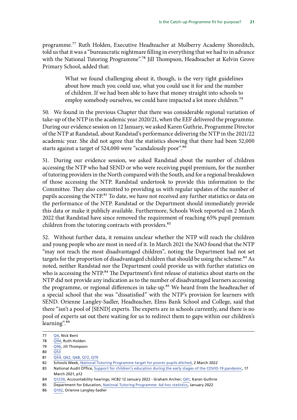programme.77 Ruth Holden, Executive Headteacher at Mulberry Academy Shoreditch, told us that it was a "bureaucratic nightmare filling in everything that we had to in advance with the National Tutoring Programme".<sup>78</sup> Jill Thompson, Headteacher at Kelvin Grove Primary School, added that:

> What we found challenging about it, though, is the very tight guidelines about how much you could use, what you could use it for and the number of children. If we had been able to have that money straight into schools to employ somebody ourselves, we could have impacted a lot more children.<sup>79</sup>

50. We found in the previous Chapter that there was considerable regional variation of take-up of the NTP in the academic year 2020/21, when the EEF delivered the programme. During our evidence session on 12 January, we asked Karen Guthrie, Programme Director of the NTP at Randstad, about Randstad's performance delivering the NTP in the 2021/22 academic year. She did not agree that the statistics showing that there had been 52,000 starts against a target of 524,000 were "scandalously poor".<sup>80</sup>

51. During our evidence session, we asked Randstad about the number of children accessing the NTP who had SEND or who were receiving pupil premium, for the number of tutoring providers in the North compared with the South, and for a regional breakdown of those accessing the NTP. Randstad undertook to provide this information to the Committee. They also committed to providing us with regular updates of the number of pupils accessing the NTP.<sup>81</sup> To date, we have not received any further statistics or data on the performance of the NTP. Randstad or the Department should immediately provide this data or make it publicly available. Furthermore, Schools Week reported on 2 March 2022 that Randstad have since removed the requirement of reaching 65% pupil premium children from the tutoring contracts with providers.<sup>82</sup>

52. Without further data, it remains unclear whether the NTP will reach the children and young people who are most in need of it. In March 2021 the NAO found that the NTP "may not reach the most disadvantaged children", noting the Department had not set targets for the proportion of disadvantaged children that should be using the scheme.<sup>83</sup> As noted, neither Randstad nor the Department could provide us with further statistics on who is accessing the NTP.<sup>84</sup> The Department's first release of statistics about starts on the NTP did not provide any indication as to the number of disadvantaged learners accessing the programme, or regional differences in take-up.<sup>85</sup> We heard from the headteacher of a special school that she was "dissatisfied" with the NTP's provision for learners with SEND. Orienne Langley-Sadler, Headteacher, Elms Bank School and College, said that there "isn't a pool of [SEND] experts. The experts are in schools currently, and there is no pool of experts sat out there waiting for us to redirect them to gaps within our children's learning".<sup>86</sup>

86 [Q102,](https://committees.parliament.uk/oralevidence/3332/pdf/) Orienne Langley-Sadler

<sup>77</sup> [Q4](https://committees.parliament.uk/oralevidence/3149/pdf/), Nick Bent

<sup>78</sup> [Q94,](https://committees.parliament.uk/oralevidence/3332/pdf/) Ruth Holden

<sup>79</sup> [Q96,](https://committees.parliament.uk/oralevidence/3332/pdf/) Jill Thompson

<sup>80</sup> [Q53](https://committees.parliament.uk/oralevidence/3281/pdf/)

<sup>81</sup> [Q54, Q62, Q68, Q72, Q79](https://committees.parliament.uk/oralevidence/3281/pdf/)

<sup>82</sup> Schools Week, [National Tutoring Programme target for poorer pupils ditched](https://schoolsweek.co.uk/national-tutoring-programme-target-for-poorer-pupils-ditched/), 2 March 2022

<sup>83</sup> National Audit Office, [Support for children's education during the early stages of the COVID-19 pandemic,](https://www.nao.org.uk/wp-content/uploads/2021/03/Support-for-childrens-education-during-the-early-stages-of-the-Covid-19-pandemic.pdf) 17 March 2021, p12

<sup>84</sup> [Q1230](https://committees.parliament.uk/oralevidence/3282/pdf/), Accountability hearings, HC82 12 January 2022 - Graham Archer; [Q61,](https://committees.parliament.uk/oralevidence/3281/pdf/) Karen Guthrie

<sup>85</sup> Department for Education, [National Tutoring Programme: Ad-hoc statistics](https://assets.publishing.service.gov.uk/government/uploads/system/uploads/attachment_data/file/1045884/National_tutoring_programme.pdf), January 2022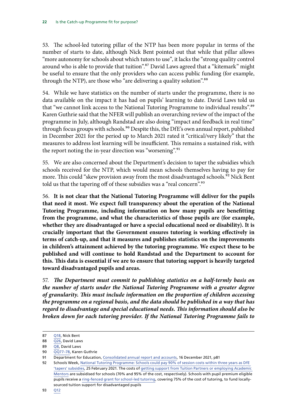53. The school-led tutoring pillar of the NTP has been more popular in terms of the number of starts to date, although Nick Bent pointed out that while that pillar allows "more autonomy for schools about which tutors to use", it lacks the "strong quality control around who is able to provide that tuition".<sup>87</sup> David Laws agreed that a "kitemark" might be useful to ensure that the only providers who can access public funding (for example, through the NTP), are those who "are delivering a quality solution".<sup>88</sup>

54. While we have statistics on the number of starts under the programme, there is no data available on the impact it has had on pupils' learning to date. David Laws told us that "we cannot link access to the National Tutoring Programme to individual results".89 Karen Guthrie said that the NFER will publish an overarching review of the impact of the programme in July, although Randstad are also doing "impact and feedback in real time" through focus groups with schools.<sup>90</sup> Despite this, the DfE's own annual report, published in December 2021 for the period up to March 2021 rated it "critical/very likely" that the measures to address lost learning will be insufficient. This remains a sustained risk, with the report noting the in-year direction was "worsening".<sup>91</sup>

55. We are also concerned about the Department's decision to taper the subsidies which schools received for the NTP, which would mean schools themselves having to pay for more. This could "skew provision away from the most disadvantaged schools.<sup>92</sup> Nick Bent told us that the tapering off of these subsidies was a "real concern".<sup>93</sup>

56. **It is not clear that the National Tutoring Programme will deliver for the pupils that need it most. We expect full transparency about the operation of the National Tutoring Programme, including information on how many pupils are benefitting from the programme, and what the characteristics of those pupils are (for example, whether they are disadvantaged or have a special educational need or disability). It is crucially important that the Government ensures tutoring is working effectively in terms of catch-up, and that it measures and publishes statistics on the improvements in children's attainment achieved by the tutoring programme. We expect these to be published and will continue to hold Randstad and the Department to account for this. This data is essential if we are to ensure that tutoring support is heavily targeted toward disadvantaged pupils and areas.**

57. *The Department must commit to publishing statistics on a half-termly basis on the number of starts under the National Tutoring Programme with a greater degree of granularity. This must include information on the proportion of children accessing the programme on a regional basis, and the data should be published in a way that has regard to disadvantage and special educational needs. This information should also be broken down for each tutoring provider. If the National Tutoring Programme fails to* 

<sup>87</sup> [Q18,](https://committees.parliament.uk/oralevidence/3149/pdf/) Nick Bent

<sup>88</sup> [Q26](https://committees.parliament.uk/oralevidence/3149/pdf/), David Laws

<sup>89</sup> [Q8](https://committees.parliament.uk/oralevidence/3149/pdf/), David Laws

<sup>90</sup> [QQ77–78](https://committees.parliament.uk/oralevidence/3281/pdf/), Karen Guthrie

<sup>91</sup> Department for Education, [Consolidated annual report and accounts](https://assets.publishing.service.gov.uk/government/uploads/system/uploads/attachment_data/file/1041620/CCS0121879180-001_DFE_Annual_Report_20-21_Web-Accessible.pdf), 16 December 2021, p81

<sup>92</sup> Schools Week, National Tutoring Programme: Schools could pay 90% of session costs within three years as DfE ['tapers' subsidies,](https://schoolsweek.co.uk/national-tutoring-programme-schools-could-pay-90-of-session-costs-within-three-years-as-dfe-tapers-subsidies/) 25 February 2021. The costs of [getting support from Tuition Partners or employing Academic](https://nationaltutoring.org.uk/)  [Mentors](https://nationaltutoring.org.uk/) are subsidised for schools (70% and 95% of the cost, respectively). Schools with pupil premium eligible pupils receive a [ring-fenced grant for school-led tutoring](https://www.gov.uk/government/publications/school-led-tutoring-conditions-of-grant/school-led-tutoring-conditions-of-grant), covering 75% of the cost of tutoring, to fund locallysourced tuition support for disadvantaged pupils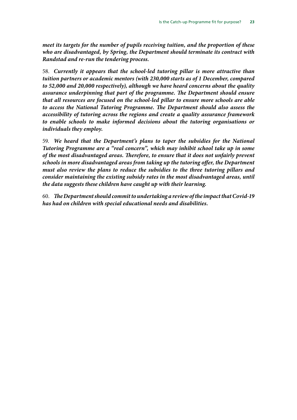*meet its targets for the number of pupils receiving tuition, and the proportion of these who are disadvantaged, by Spring, the Department should terminate its contract with Randstad and re-run the tendering process.*

58. *Currently it appears that the school-led tutoring pillar is more attractive than tuition partners or academic mentors (with 230,000 starts as of 1 December, compared to 52,000 and 20,000 respectively), although we have heard concerns about the quality assurance underpinning that part of the programme. The Department should ensure that all resources are focused on the school-led pillar to ensure more schools are able to access the National Tutoring Programme. The Department should also assess the accessibility of tutoring across the regions and create a quality assurance framework*  to enable schools to make informed decisions about the tutoring organisations or *individuals they employ.*

59. *We heard that the Department's plans to taper the subsidies for the National Tutoring Programme are a "real concern", which may inhibit school take up in some of the most disadvantaged areas. Therefore, to ensure that it does not unfairly prevent schools in more disadvantaged areas from taking up the tutoring offer, the Department must also review the plans to reduce the subsidies to the three tutoring pillars and consider maintaining the existing subsidy rates in the most disadvantaged areas, until the data suggests these children have caught up with their learning.*

60. *The Department should commit to undertaking a review of the impact that Covid-19 has had on children with special educational needs and disabilities.*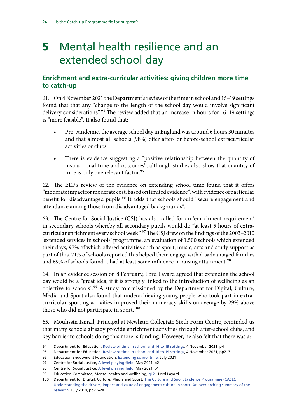# <span id="page-24-0"></span>**5** Mental health resilience and an extended school day

### **Enrichment and extra-curricular activities: giving children more time to catch-up**

61. On 4 November 2021 the Department's review of the time in school and 16–19 settings found that that any "change to the length of the school day would involve significant delivery considerations".<sup>94</sup> The review added that an increase in hours for 16–19 settings is "more feasible". It also found that:

- Pre-pandemic, the average school day in England was around 6 hours 30 minutes and that almost all schools (98%) offer after- or before-school extracurricular activities or clubs.
- There is evidence suggesting a "positive relationship between the quantity of instructional time and outcomes", although studies also show that quantity of time is only one relevant factor.<sup>95</sup>

62. The EEF's review of the evidence on extending school time found that it offers "moderate impact for moderate cost, based on limited evidence", with evidence of particular benefit for disadvantaged pupils.<sup>96</sup> It adds that schools should "secure engagement and attendance among those from disadvantaged backgrounds".

63. The Centre for Social Justice (CSJ) has also called for an 'enrichment requirement' in secondary schools whereby all secondary pupils would do "at least 5 hours of extracurricular enrichment every school week".97 The CSJ drew on the findings of the 2003–2010 'extended services in schools' programme, an evaluation of 1,500 schools which extended their days, 97% of which offered activities such as sport, music, arts and study support as part of this. 71% of schools reported this helped them engage with disadvantaged families and 69% of schools found it had at least some influence in raising attainment.<sup>98</sup>

64. In an evidence session on 8 February, Lord Layard agreed that extending the school day would be a "great idea, if it is strongly linked to the introduction of wellbeing as an objective to schools".99 A study commissioned by the Department for Digital, Culture, Media and Sport also found that underachieving young people who took part in extracurricular sporting activities improved their numeracy skills on average by 29% above those who did not participate in sport.<sup>100</sup>

65. Mouhssin Ismail, Principal at Newham Collegiate Sixth Form Centre, reminded us that many schools already provide enrichment activities through after-school clubs, and key barrier to schools doing this more is funding. However, he also felt that there was a:

<sup>94</sup> Department for Education, [Review of time in school and 16 to 19 settings,](https://assets.publishing.service.gov.uk/government/uploads/system/uploads/attachment_data/file/1031290/Review_of_time_in_school_and_16_to_19_settings.pdf) 4 November 2021, p4

<sup>95</sup> Department for Education, [Review of time in school and 16 to 19 settings,](https://assets.publishing.service.gov.uk/government/uploads/system/uploads/attachment_data/file/1031290/Review_of_time_in_school_and_16_to_19_settings.pdf) 4 November 2021, pp2–3

<sup>96</sup> Education Endowment Foundation, [Extending school time](https://educationendowmentfoundation.org.uk/education-evidence/teaching-learning-toolkit/extending-school-time), July 2021

<sup>97</sup> Centre for Social Justice, [A level playing field,](https://www.centreforsocialjustice.org.uk/wp-content/uploads/2021/05/Position_paper-extended_school_day_web-version.pdf) May 2021, p2

<sup>98</sup> Centre for Social Justice, [A level playing field,](https://www.centreforsocialjustice.org.uk/wp-content/uploads/2021/05/Position_paper-extended_school_day_web-version.pdf) May 2021, p1

<sup>99</sup> Education Committee, Mental health and wellbeing, [q12](https://committees.parliament.uk/oralevidence/3412/html/) - Lord Layard

<sup>100</sup> Department for Digital, Culture, Media and Sport, [The Culture and Sport Evidence Programme \(CASE\):](https://assets.publishing.service.gov.uk/government/uploads/system/uploads/attachment_data/file/71231/CASE-supersummaryFINAL-19-July2010.pdf)  [Understanding the drivers, impact and value of engagement culture in sport: An over-arching summary of the](https://assets.publishing.service.gov.uk/government/uploads/system/uploads/attachment_data/file/71231/CASE-supersummaryFINAL-19-July2010.pdf)  [research,](https://assets.publishing.service.gov.uk/government/uploads/system/uploads/attachment_data/file/71231/CASE-supersummaryFINAL-19-July2010.pdf) July 2010, pp27–28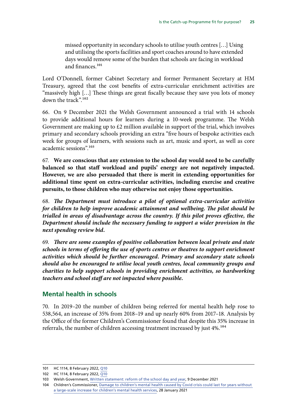<span id="page-25-0"></span>missed opportunity in secondary schools to utilise youth centres […] Using and utilising the sports facilities and sport coaches around to have extended days would remove some of the burden that schools are facing in workload and finances.101

Lord O'Donnell, former Cabinet Secretary and former Permanent Secretary at HM Treasury, agreed that the cost benefits of extra-curricular enrichment activities are "massively high […] These things are great fiscally because they save you lots of money down the track".102

66. On 9 December 2021 the Welsh Government announced a trial with 14 schools to provide additional hours for learners during a 10-week programme. The Welsh Government are making up to  $\epsilon$ 2 million available in support of the trial, which involves primary and secondary schools providing an extra "five hours of bespoke activities each week for groups of learners, with sessions such as art, music and sport, as well as core academic sessions".103

67. **We are conscious that any extension to the school day would need to be carefully balanced so that staff workload and pupils' energy are not negatively impacted. However, we are also persuaded that there is merit in extending opportunities for additional time spent on extra-curricular activities, including exercise and creative pursuits, to those children who may otherwise not enjoy those opportunities.**

68. *The Department must introduce a pilot of optional extra-curricular activities for children to help improve academic attainment and wellbeing. The pilot should be trialled in areas of disadvantage across the country. If this pilot proves effective, the Department should include the necessary funding to support a wider provision in the next spending review bid.*

69. *There are some examples of positive collaboration between local private and state schools in terms of offering the use of sports centres or theatres to support enrichment activities which should be further encouraged. Primary and secondary state schools should also be encouraged to utilise local youth centres, local community groups and charities to help support schools in providing enrichment activities, so hardworking teachers and school staff are not impacted where possible.*

### **Mental health in schools**

70. In 2019–20 the number of children being referred for mental health help rose to 538,564, an increase of 35% from 2018–19 and up nearly 60% from 2017–18. Analysis by the Office of the former Children's Commissioner found that despite this 35% increase in referrals, the number of children accessing treatment increased by just 4%.<sup>104</sup>

<sup>101</sup> HC 1114, 8 February 2022, [Q10](https://committees.parliament.uk/oralevidence/3412/pdf/)

<sup>102</sup> HC 1114, 8 February 2022, [Q10](https://committees.parliament.uk/oralevidence/3412/pdf/)

<sup>103</sup> Welsh Government, [Written statement: reform of the school day and year,](https://gov.wales/written-statement-reform-school-day-and-year?utm_source=rss-announcements&utm_medium=rss-feed&utm_campaign=announcements-+Written+Statement%3A+Reform+of+the+School+Day+and+Year) 9 December 2021

<sup>104</sup> Children's Commissioner, [Damage to children's mental health caused by Covid crisis could last for years without](https://www.childrenscommissioner.gov.uk/2021/01/28/damage-to-childrens-mental-health-caused-by-covid-crisis-could-last-for-years-without-a-large-scale-increase-for-childrens-mental-health-services/)  [a large-scale increase for children's mental health services,](https://www.childrenscommissioner.gov.uk/2021/01/28/damage-to-childrens-mental-health-caused-by-covid-crisis-could-last-for-years-without-a-large-scale-increase-for-childrens-mental-health-services/) 28 January 2021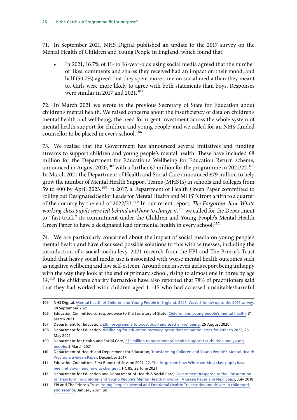71. In September 2021, NHS Digital published an update to the 2017 survey on the Mental Health of Children and Young People in England, which found that:

• In 2021, 16.7% of 11- to 16-year-olds using social media agreed that the number of likes, comments and shares they received had an impact on their mood, and half (50.7%) agreed that they spent more time on social media than they meant to. Girls were more likely to agree with both statements than boys. Responses were similar in 2017 and  $2021$ .<sup>105</sup>

72. In March 2021 we wrote to the previous Secretary of State for Education about children's mental health. We raised concerns about the insufficiency of data on children's mental health and wellbeing, the need for urgent investment across the whole system of mental health support for children and young people, and we called for an NHS-funded counsellor to be placed in every school.<sup>106</sup>

73. We realise that the Government has announced several initiatives and funding streams to support children and young people's mental health. These have included £8 million for the Department for Education's Wellbeing for Education Return scheme, announced in August 2020,<sup>107</sup> with a further £7 million for the programme in 2021/22.<sup>108</sup> In March 2021 the Department of Health and Social Care announced £79 million to help grow the number of Mental Health Support Teams (MHSTs) in schools and colleges from 59 to 400 by April 2023.109 In 2017, a Department of Health Green Paper committed to rolling out Designated Senior Leads for Mental Health and MHSTs from a fifth to a quarter of the country by the end of 2022/23.110 In our recent report, *The Forgotten: how White working-class pupils were left behind and how to change it*,<sup>111</sup> we called for the Department to "fast-track" its commitment under the Children and Young People's Mental Health Green Paper to have a designated lead for mental health in every school.<sup>112</sup>

74. We are particularly concerned about the impact of social media on young people's mental health and have discussed possible solutions to this with witnesses, including the introduction of a social media levy. 2021 research from the EPI and The Prince's Trust found that heavy social media use is associated with worse mental health outcomes such as negative wellbeing and low self-esteem. Around one in seven girls report being unhappy with the way they look at the end of primary school, rising to almost one in three by age 14.113 The children's charity Barnardo's have also reported that 78% of practitioners said that they had worked with children aged 11–15 who had accessed unsuitable/harmful

<sup>105</sup> NHS Digital, [Mental health of Children and Young People in England, 2021: Wave 2 follow up to the 2017 survey](https://files.digital.nhs.uk/97/B09EF8/mhcyp_2021_rep.pdf), 30 September 2021

<sup>106</sup> Education Committee correspondence to the Secretary of State, [Children and young people's mental health,](https://committees.parliament.uk/publications/5352/documents/53321/default/) 31 March 2021

<sup>107</sup> Department for Education, [£8m programme to boost pupil and teacher wellbeing,](https://www.gov.uk/government/news/8m-programme-to-boost-pupil-and-teacher-wellbeing) 25 August 2020

<sup>108</sup> Department for Education, [Wellbeing for education recovery: grant determination letter for 2021 to 2022](https://assets.publishing.service.gov.uk/government/uploads/system/uploads/attachment_data/file/992591/S31_-_Grant_Determination_Letter_for_Wellbeing_for_Education_Recovery.pdf), 26 May 2021

<sup>109</sup> Department for Health and Social Care, [£79 million to boost mental health support for children and young](https://www.gov.uk/government/news/79-million-to-boost-mental-health-support-for-children-and-young-people)  [people,](https://www.gov.uk/government/news/79-million-to-boost-mental-health-support-for-children-and-young-people) 5 March 2021

<sup>110</sup> Department of Health and Department for Education, [Transforming Children and Young People's Mental Health](https://assets.publishing.service.gov.uk/government/uploads/system/uploads/attachment_data/file/664855/Transforming_children_and_young_people_s_mental_health_provision.pdf)  [Provision: a Green Paper,](https://assets.publishing.service.gov.uk/government/uploads/system/uploads/attachment_data/file/664855/Transforming_children_and_young_people_s_mental_health_provision.pdf) December 2017

<sup>111</sup> Education Committee, First Report of Session 2021–22, [The forgotten: how White working-class pupils have](https://committees.parliament.uk/publications/6364/documents/70802/default/)  [been let down, and how to change it](https://committees.parliament.uk/publications/6364/documents/70802/default/), HC 85, 22 June 2021

<sup>112</sup> Department for Education and Department of Health & Social Care, [Government Response to the Consultation](https://assets.publishing.service.gov.uk/government/uploads/system/uploads/attachment_data/file/728892/government-response-to-consultation-on-transforming-children-and-young-peoples-mental-health.pdf)  [on Transforming Children and Young People's Mental Health Provision: A Green Paper and Next Steps,](https://assets.publishing.service.gov.uk/government/uploads/system/uploads/attachment_data/file/728892/government-response-to-consultation-on-transforming-children-and-young-peoples-mental-health.pdf) July 2018

<sup>113</sup> EPI and The Prince's Trust, [Young People's Mental and Emotional Health: Trajectories and drivers in childhood](https://epi.org.uk/wp-content/uploads/2021/01/EPI-PT_Young-people%E2%80%99s-wellbeing_Jan2021.pdf)  [adolescence](https://epi.org.uk/wp-content/uploads/2021/01/EPI-PT_Young-people%E2%80%99s-wellbeing_Jan2021.pdf), January 2021, p8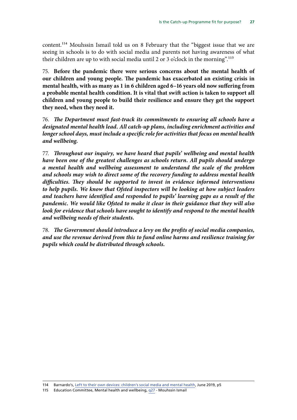content.114 Mouhssin Ismail told us on 8 February that the "biggest issue that we are seeing in schools is to do with social media and parents not having awareness of what their children are up to with social media until 2 or 3 o'clock in the morning".115

75. **Before the pandemic there were serious concerns about the mental health of our children and young people. The pandemic has exacerbated an existing crisis in mental health, with as many as 1 in 6 children aged 6–16 years old now suffering from a probable mental health condition. It is vital that swift action is taken to support all children and young people to build their resilience and ensure they get the support they need, when they need it.**

76. *The Department must fast-track its commitments to ensuring all schools have a designated mental health lead. All catch-up plans, including enrichment activities and longer school days, must include a specific role for activities that focus on mental health and wellbeing.*

77. *Throughout our inquiry, we have heard that pupils' wellbeing and mental health have been one of the greatest challenges as schools return. All pupils should undergo a mental health and wellbeing assessment to understand the scale of the problem and schools may wish to direct some of the recovery funding to address mental health difficulties. They should be supported to invest in evidence informed interventions to help pupils. We know that Ofsted inspectors will be looking at how subject leaders and teachers have identified and responded to pupils' learning gaps as a result of the pandemic. We would like Ofsted to make it clear in their guidance that they will also look for evidence that schools have sought to identify and respond to the mental health and wellbeing needs of their students.*

78. *The Government should introduce a levy on the profits of social media companies, and use the revenue derived from this to fund online harms and resilience training for pupils which could be distributed through schools.*

115 Education Committee, Mental health and wellbeing, [q27](https://committees.parliament.uk/oralevidence/3412/pdf/) - Mouhssin Ismail

<sup>114</sup> Barnardo's, [Left to their own devices: children's social media and mental health](https://www.barnardos.org.uk/sites/default/files/uploads/B51140%2020886_Social%20media_Report_Final_Lo%20Res.pdf), June 2019, p5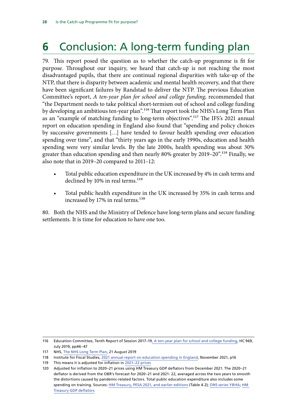# <span id="page-28-0"></span>**6** Conclusion: A long-term funding plan

79. This report posed the question as to whether the catch-up programme is fit for purpose. Throughout our inquiry, we heard that catch-up is not reaching the most disadvantaged pupils, that there are continual regional disparities with take-up of the NTP, that there is disparity between academic and mental health recovery, and that there have been significant failures by Randstad to deliver the NTP. The previous Education Committee's report, *A ten-year plan for school and college funding*, recommended that "the Department needs to take political short-termism out of school and college funding by developing an ambitious ten-year plan".<sup>116</sup> That report took the NHS's Long Term Plan as an "example of matching funding to long-term objectives".<sup>117</sup> The IFS's 2021 annual report on education spending in England also found that "spending and policy choices by successive governments […] have tended to favour health spending over education spending over time", and that "thirty years ago in the early 1990s, education and health spending were very similar levels. By the late 2000s, health spending was about 30% greater than education spending and then nearly 80% greater by 2019–20".<sup>118</sup> Finally, we also note that in 2019–20 compared to 2011–12:

- Total public education expenditure in the UK increased by 4% in cash terms and declined by 10% in real terms.<sup>119</sup>
- Total public health expenditure in the UK increased by 35% in cash terms and increased by 17% in real terms.<sup>120</sup>

80. Both the NHS and the Ministry of Defence have long-term plans and secure funding settlements. It is time for education to have one too.

118 Institute for Fiscal Studies, [2021 annual report on education spending in England,](https://ifs.org.uk/uploads/R204-2021-Education-Spending-Report-1.pdf) November 2021, p16

<sup>116</sup> Education Committee, Tenth Report of Session 2017–19[, A ten-year plan for school and college funding,](https://publications.parliament.uk/pa/cm201719/cmselect/cmeduc/969/969.pdf) HC 969, July 2019, pp46–47

<sup>117</sup> NHS, [The NHS Long Term Plan,](https://www.longtermplan.nhs.uk/publication/nhs-long-term-plan/) 21 August 2019

<sup>119</sup> This means it is adjusted for inflation in [2021–22 prices](https://www.gov.uk/government/statistics/gdp-deflators-at-market-prices-and-money-gdp-december-2021-quarterly-national-accounts)

<sup>120</sup> Adjusted for inflation to 2020–21 prices using HM Treasury GDP deflators from December 2021. The 2020–21 deflator is derived from the OBR's forecast for 2020–21 and 2021- 22, averaged across the two years to smooth the distortions caused by pandemic-related factors. Total public education expenditure also includes some spending on training. Sources: [HM Treasury, PESA 2021, and earlier editions](https://www.gov.uk/government/statistics/public-expenditure-statistical-analyses-2021) (Table 4.2); [ONS series YBHA](https://www.ons.gov.uk/economy/grossdomesticproductgdp/timeseries/ybha/pn2?referrer=search&searchTerm=ybha); [HM](https://www.gov.uk/government/statistics/gdp-deflators-at-market-prices-and-money-gdp-december-2021-quarterly-national-accounts)  [Treasury GDP deflators](https://www.gov.uk/government/statistics/gdp-deflators-at-market-prices-and-money-gdp-december-2021-quarterly-national-accounts)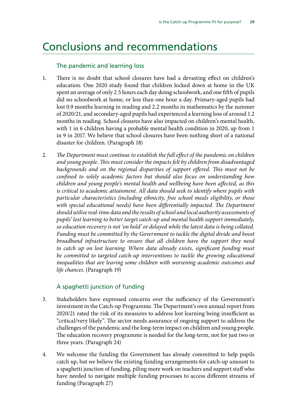# <span id="page-29-0"></span>Conclusions and recommendations

### The pandemic and learning loss

- 1. There is no doubt that school closures have had a devasting effect on children's education. One 2020 study found that children locked down at home in the UK spent an average of only 2.5 hours each day doing schoolwork, and one fifth of pupils did no schoolwork at home, or less than one hour a day. Primary-aged pupils had lost 0.9 months learning in reading and 2.2 months in mathematics by the summer of 2020/21, and secondary-aged pupils had experienced a learning loss of around 1.2 months in reading. School closures have also impacted on children's mental health, with 1 in 6 children having a probable mental health condition in 2020, up from 1 in 9 in 2017. We believe that school closures have been nothing short of a national disaster for children. (Paragraph 18)
- 2. *The Department must continue to establish the full effect of the pandemic on children and young people. This must consider the impacts felt by children from disadvantaged*  backgrounds and on the regional disparities of support offered. This must not be *confined to solely academic factors but should also focus on understanding how children and young people's mental health and wellbeing have been affected, as this is critical to academic attainment. All data should seek to identify where pupils with particular characteristics (including ethnicity, free school meals eligibility, or those*  with special educational needs) have been differentially impacted. The Department *should utilise real-time data and the results of school and local authority assessments of pupils' lost learning to better target catch-up and mental health support immediately, so education recovery is not 'on hold' or delayed while the latest data is being collated. Funding must be committed by the Government to tackle the digital divide and boost broadband infrastructure to ensure that all children have the support they need to catch up on lost learning. Where data already exists, significant funding must be committed to targeted catch-up interventions to tackle the growing educational inequalities that are leaving some children with worsening academic outcomes and life chances*. (Paragraph 19)

### A spaghetti junction of funding

- 3. Stakeholders have expressed concerns over the sufficiency of the Government's investment in the Catch-up Programme. The Department's own annual report from 2020/21 rated the risk of its measures to address lost learning being insufficient as "critical/very likely". The sector needs assurance of ongoing support to address the challenges of the pandemic and the long-term impact on children and young people. The education recovery programme is needed for the long-term, not for just two or three years. (Paragraph 24)
- 4. We welcome the funding the Government has already committed to help pupils catch up, but we believe the existing funding arrangements for catch-up amount to a spaghetti junction of funding, piling more work on teachers and support staff who have needed to navigate multiple funding processes to access different streams of funding (Paragraph 27)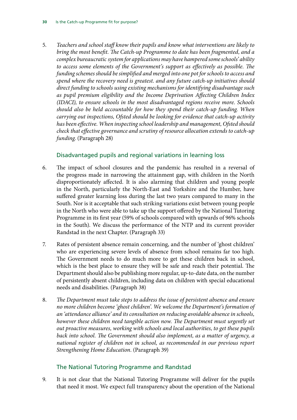5. *Teachers and school staff know their pupils and know what interventions are likely to bring the most benefit. The Catch-up Programme to date has been fragmented, and a complex bureaucratic system for applications may have hampered some schools' ability to access some elements of the Government's support as effectively as possible. The funding schemes should be simplified and merged into one pot for schools to access and spend where the recovery need is greatest. and any future catch-up initiatives should direct funding to schools using existing mechanisms for identifying disadvantage such as pupil premium eligibility and the Income Deprivation Affecting Children Index (IDACI), to ensure schools in the most disadvantaged regions receive more. Schools should also be held accountable for how they spend their catch-up funding. When carrying out inspections, Ofsted should be looking for evidence that catch-up activity has been effective. When inspecting school leadership and management, Ofsted should check that effective governance and scrutiny of resource allocation extends to catch-up funding*. (Paragraph 28)

### Disadvantaged pupils and regional variations in learning loss

- 6. The impact of school closures and the pandemic has resulted in a reversal of the progress made in narrowing the attainment gap, with children in the North disproportionately affected. It is also alarming that children and young people in the North, particularly the North-East and Yorkshire and the Humber, have suffered greater learning loss during the last two years compared to many in the South. Nor is it acceptable that such striking variations exist between young people in the North who were able to take up the support offered by the National Tutoring Programme in its first year (59% of schools compared with upwards of 96% schools in the South). We discuss the performance of the NTP and its current provider Randstad in the next Chapter. (Paragraph 33)
- 7. Rates of persistent absence remain concerning, and the number of 'ghost children' who are experiencing severe levels of absence from school remains far too high. The Government needs to do much more to get these children back in school, which is the best place to ensure they will be safe and reach their potential. The Department should also be publishing more regular, up-to-date data, on the number of persistently absent children, including data on children with special educational needs and disabilities. (Paragraph 38)
- 8. *The Department must take steps to address the issue of persistent absence and ensure no more children become 'ghost children'. We welcome the Department's formation of an 'attendance alliance' and its consultation on reducing avoidable absence in schools, however these children need tangible action now. The Department must urgently set out proactive measures, working with schools and local authorities, to get these pupils back into school. The Government should also implement, as a matter of urgency, a national register of children not in school, as recommended in our previous report Strengthening Home Education*. (Paragraph 39)

### The National Tutoring Programme and Randstad

9. It is not clear that the National Tutoring Programme will deliver for the pupils that need it most. We expect full transparency about the operation of the National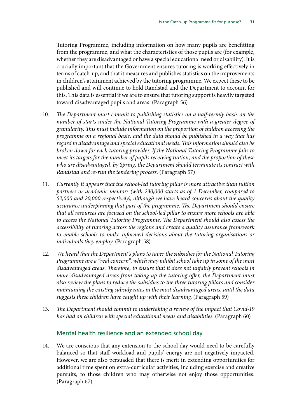Tutoring Programme, including information on how many pupils are benefitting from the programme, and what the characteristics of those pupils are (for example, whether they are disadvantaged or have a special educational need or disability). It is crucially important that the Government ensures tutoring is working effectively in terms of catch-up, and that it measures and publishes statistics on the improvements in children's attainment achieved by the tutoring programme. We expect these to be published and will continue to hold Randstad and the Department to account for this. This data is essential if we are to ensure that tutoring support is heavily targeted toward disadvantaged pupils and areas. (Paragraph 56)

- 10. *The Department must commit to publishing statistics on a half-termly basis on the number of starts under the National Tutoring Programme with a greater degree of granularity. This must include information on the proportion of children accessing the programme on a regional basis, and the data should be published in a way that has regard to disadvantage and special educational needs. This information should also be broken down for each tutoring provider. If the National Tutoring Programme fails to meet its targets for the number of pupils receiving tuition, and the proportion of these who are disadvantaged, by Spring, the Department should terminate its contract with Randstad and re-run the tendering process*. (Paragraph 57)
- 11. *Currently it appears that the school-led tutoring pillar is more attractive than tuition partners or academic mentors (with 230,000 starts as of 1 December, compared to 52,000 and 20,000 respectively), although we have heard concerns about the quality assurance underpinning that part of the programme. The Department should ensure that all resources are focused on the school-led pillar to ensure more schools are able to access the National Tutoring Programme. The Department should also assess the accessibility of tutoring across the regions and create a quality assurance framework to enable schools to make informed decisions about the tutoring organisations or individuals they employ*. (Paragraph 58)
- 12. *We heard that the Department's plans to taper the subsidies for the National Tutoring Programme are a "real concern", which may inhibit school take up in some of the most disadvantaged areas. Therefore, to ensure that it does not unfairly prevent schools in more disadvantaged areas from taking up the tutoring offer, the Department must also review the plans to reduce the subsidies to the three tutoring pillars and consider maintaining the existing subsidy rates in the most disadvantaged areas, until the data suggests these children have caught up with their learning*. (Paragraph 59)
- 13. *The Department should commit to undertaking a review of the impact that Covid-19 has had on children with special educational needs and disabilities*. (Paragraph 60)

#### Mental health resilience and an extended school day

14. We are conscious that any extension to the school day would need to be carefully balanced so that staff workload and pupils' energy are not negatively impacted. However, we are also persuaded that there is merit in extending opportunities for additional time spent on extra-curricular activities, including exercise and creative pursuits, to those children who may otherwise not enjoy those opportunities. (Paragraph 67)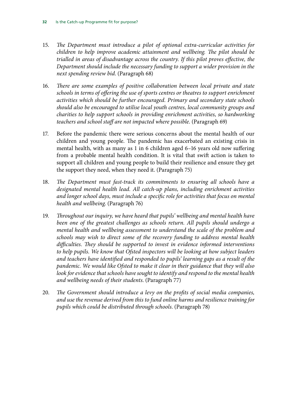- 15. *The Department must introduce a pilot of optional extra-curricular activities for children to help improve academic attainment and wellbeing. The pilot should be trialled in areas of disadvantage across the country. If this pilot proves effective, the Department should include the necessary funding to support a wider provision in the next spending review bid*. (Paragraph 68)
- 16. *There are some examples of positive collaboration between local private and state schools in terms of offering the use of sports centres or theatres to support enrichment activities which should be further encouraged. Primary and secondary state schools should also be encouraged to utilise local youth centres, local community groups and charities to help support schools in providing enrichment activities, so hardworking teachers and school staff are not impacted where possible*. (Paragraph 69)
- 17. Before the pandemic there were serious concerns about the mental health of our children and young people. The pandemic has exacerbated an existing crisis in mental health, with as many as 1 in 6 children aged 6–16 years old now suffering from a probable mental health condition. It is vital that swift action is taken to support all children and young people to build their resilience and ensure they get the support they need, when they need it. (Paragraph 75)
- 18. *The Department must fast-track its commitments to ensuring all schools have a designated mental health lead. All catch-up plans, including enrichment activities and longer school days, must include a specific role for activities that focus on mental health and wellbeing*. (Paragraph 76)
- 19. *Throughout our inquiry, we have heard that pupils' wellbeing and mental health have been one of the greatest challenges as schools return. All pupils should undergo a mental health and wellbeing assessment to understand the scale of the problem and schools may wish to direct some of the recovery funding to address mental health difficulties. They should be supported to invest in evidence informed interventions to help pupils. We know that Ofsted inspectors will be looking at how subject leaders and teachers have identified and responded to pupils' learning gaps as a result of the pandemic. We would like Ofsted to make it clear in their guidance that they will also look for evidence that schools have sought to identify and respond to the mental health and wellbeing needs of their students*. (Paragraph 77)
- 20. *The Government should introduce a levy on the profits of social media companies, and use the revenue derived from this to fund online harms and resilience training for pupils which could be distributed through schools*. (Paragraph 78)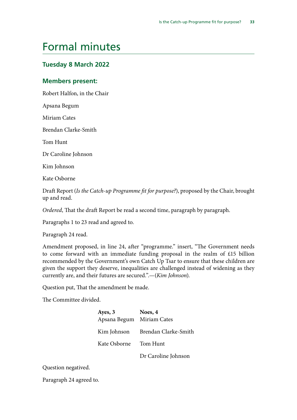# <span id="page-33-0"></span>Formal minutes

### **Tuesday 8 March 2022**

### **Members present:**

Robert Halfon, in the Chair

Apsana Begum

Miriam Cates

Brendan Clarke-Smith

Tom Hunt

Dr Caroline Johnson

Kim Johnson

Kate Osborne

Draft Report (*Is the Catch-up Programme fit for purpose?*), proposed by the Chair, brought up and read.

*Ordered*, That the draft Report be read a second time, paragraph by paragraph.

Paragraphs 1 to 23 read and agreed to.

Paragraph 24 read.

Amendment proposed, in line 24, after "programme." insert, "The Government needs to come forward with an immediate funding proposal in the realm of £15 billion recommended by the Government's own Catch Up Tsar to ensure that these children are given the support they deserve, inequalities are challenged instead of widening as they currently are, and their futures are secured.".—(*Kim Johnson*).

Question put, That the amendment be made.

The Committee divided.

| Ayes, 3                   | Noes, 4                          |
|---------------------------|----------------------------------|
| Apsana Begum Miriam Cates |                                  |
|                           | Kim Johnson Brendan Clarke-Smith |
| Kate Osborne Tom Hunt     |                                  |

Dr Caroline Johnson

Question negatived.

Paragraph 24 agreed to.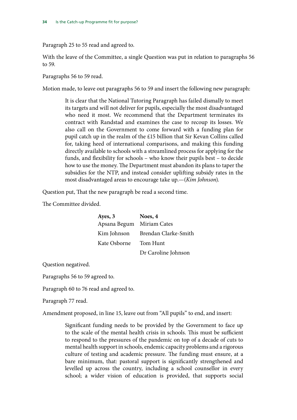Paragraph 25 to 55 read and agreed to.

With the leave of the Committee, a single Question was put in relation to paragraphs 56 to 59.

Paragraphs 56 to 59 read.

Motion made, to leave out paragraphs 56 to 59 and insert the following new paragraph:

It is clear that the National Tutoring Paragraph has failed dismally to meet its targets and will not deliver for pupils, especially the most disadvantaged who need it most. We recommend that the Department terminates its contract with Randstad and examines the case to recoup its losses. We also call on the Government to come forward with a funding plan for pupil catch up in the realm of the £15 billion that Sir Kevan Collins called for, taking heed of international comparisons, and making this funding directly available to schools with a streamlined process for applying for the funds, and flexibility for schools – who know their pupils best – to decide how to use the money. The Department must abandon its plans to taper the subsidies for the NTP, and instead consider uplifting subsidy rates in the most disadvantaged areas to encourage take up.—(*Kim Johnson*).

Question put, That the new paragraph be read a second time.

The Committee divided.

| Ayes, 3                   | Noes, 4                          |
|---------------------------|----------------------------------|
| Apsana Begum Miriam Cates |                                  |
|                           | Kim Johnson Brendan Clarke-Smith |
| Kate Osborne              | Tom Hunt                         |
|                           | Dr Caroline Johnson              |

Question negatived.

Paragraphs 56 to 59 agreed to.

Paragraph 60 to 76 read and agreed to.

Paragraph 77 read.

Amendment proposed, in line 15, leave out from "All pupils" to end, and insert:

Significant funding needs to be provided by the Government to face up to the scale of the mental health crisis in schools. This must be sufficient to respond to the pressures of the pandemic on top of a decade of cuts to mental health support in schools, endemic capacity problems and a rigorous culture of testing and academic pressure. The funding must ensure, at a bare minimum, that: pastoral support is significantly strengthened and levelled up across the country, including a school counsellor in every school; a wider vision of education is provided, that supports social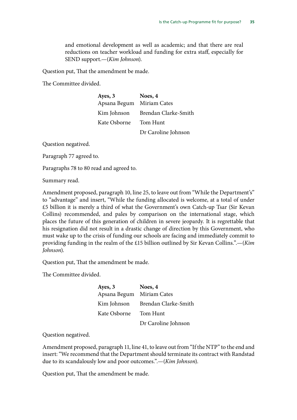and emotional development as well as academic; and that there are real reductions on teacher workload and funding for extra staff, especially for SEND support.—(*Kim Johnson*).

Question put, That the amendment be made.

The Committee divided.

| Ayes, 3                   | Noes, 4              |
|---------------------------|----------------------|
| Apsana Begum Miriam Cates |                      |
| Kim Johnson               | Brendan Clarke-Smith |
| Kate Osborne              | Tom Hunt             |
|                           | Dr Caroline Johnson  |

Question negatived.

Paragraph 77 agreed to.

Paragraphs 78 to 80 read and agreed to.

Summary read.

Amendment proposed, paragraph 10, line 25, to leave out from "While the Department's" to "advantage" and insert, "While the funding allocated is welcome, at a total of under £5 billion it is merely a third of what the Government's own Catch-up Tsar (Sir Kevan Collins) recommended, and pales by comparison on the international stage, which places the future of this generation of children in severe jeopardy. It is regrettable that his resignation did not result in a drastic change of direction by this Government, who must wake up to the crisis of funding our schools are facing and immediately commit to providing funding in the realm of the £15 billion outlined by Sir Kevan Collins.".—(*Kim Johnson*).

Question put, That the amendment be made.

The Committee divided.

| Ayes, 3      | Noes, 4              |
|--------------|----------------------|
| Apsana Begum | Miriam Cates         |
| Kim Johnson  | Brendan Clarke-Smith |
| Kate Osborne | Tom Hunt             |
|              | Dr Caroline Johnson  |

Question negatived.

Amendment proposed, paragraph 11, line 41, to leave out from "If the NTP" to the end and insert: "We recommend that the Department should terminate its contract with Randstad due to its scandalously low and poor outcomes.".—(*Kim Johnson*).

Question put, That the amendment be made.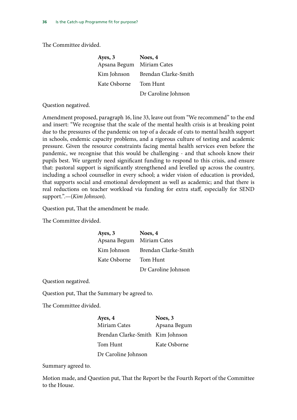The Committee divided.

| Ayes, 3                   | Noes, 4              |
|---------------------------|----------------------|
| Apsana Begum Miriam Cates |                      |
| Kim Johnson               | Brendan Clarke-Smith |
| Kate Osborne              | Tom Hunt             |
|                           | Dr Caroline Johnson  |

Question negatived.

Amendment proposed, paragraph 16, line 33, leave out from "We recommend" to the end and insert: "We recognise that the scale of the mental health crisis is at breaking point due to the pressures of the pandemic on top of a decade of cuts to mental health support in schools, endemic capacity problems, and a rigorous culture of testing and academic pressure. Given the resource constraints facing mental health services even before the pandemic, we recognise that this would be challenging - and that schools know their pupils best. We urgently need significant funding to respond to this crisis, and ensure that: pastoral support is significantly strengthened and levelled up across the country, including a school counsellor in every school; a wider vision of education is provided, that supports social and emotional development as well as academic; and that there is real reductions on teacher workload via funding for extra staff, especially for SEND support.".—(*Kim Johnson*).

Question put, That the amendment be made.

The Committee divided.

| Ayes, 3                   | Noes, 4              |
|---------------------------|----------------------|
| Apsana Begum Miriam Cates |                      |
| Kim Johnson               | Brendan Clarke-Smith |
| Kate Osborne              | Tom Hunt             |
|                           | Dr Caroline Johnson  |

Question negatived.

Question put, That the Summary be agreed to.

The Committee divided.

| Ayes, 4                          | Noes, 3      |
|----------------------------------|--------------|
| <b>Miriam Cates</b>              | Apsana Begum |
| Brendan Clarke-Smith Kim Johnson |              |
| Tom Hunt                         | Kate Osborne |
| Dr Caroline Johnson              |              |

Summary agreed to.

Motion made, and Question put, That the Report be the Fourth Report of the Committee to the House.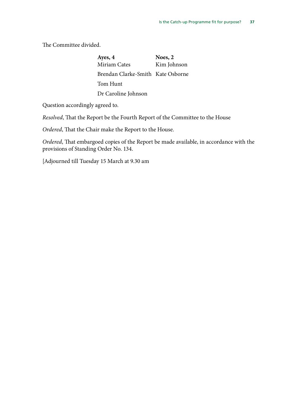The Committee divided.

**Ayes, 4 Noes, 2** Miriam Cates Brendan Clarke-Smith Kate Osborne Tom Hunt Dr Caroline Johnson Kim Johnson

Question accordingly agreed to.

*Resolved*, That the Report be the Fourth Report of the Committee to the House

*Ordered*, That the Chair make the Report to the House.

*Ordered*, That embargoed copies of the Report be made available, in accordance with the provisions of Standing Order No. 134.

[Adjourned till Tuesday 15 March at 9.30 am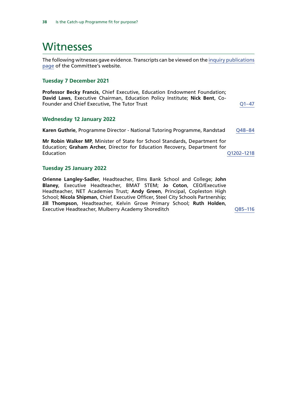# <span id="page-38-0"></span>**Witnesses**

The following witnesses gave evidence. Transcripts can be viewed on the [inquiry publications](https://committees.parliament.uk/work/1667/default/publications/oral-evidence/) [page](https://committees.parliament.uk/work/1667/default/publications/oral-evidence/) of the Committee's website.

#### **Tuesday 7 December 2021**

**Professor Becky Francis**, Chief Executive, Education Endowment Foundation; **David Laws**, Executive Chairman, Education Policy Institute; **Nick Bent**, Co-Founder and Chief Executive, The Tutor Trust COMERCITY COMERCITY COMERCITY CONTROLLER

#### **Wednesday 12 January 2022**

**Karen Guthrie, Programme Director - National Tutoring Programme, Randstad Q48-84** 

**Mr Robin Walker MP**, Minister of State for School Standards, Department for Education; **Graham Archer**, Director for Education Recovery, Department for Education [Q1202–1218](https://committees.parliament.uk/oralevidence/3282/html/)

#### **Tuesday 25 January 2022**

**Orienne Langley-Sadler**, Headteacher, Elms Bank School and College; **John Blaney**, Executive Headteacher, BMAT STEM; **Jo Coton**, CEO/Executive Headteacher, NET Academies Trust; **Andy Green**, Principal, Copleston High School; **Nicola Shipman**, Chief Executive Officer, Steel City Schools Partnership; **Jill Thompson**, Headteacher, Kelvin Grove Primary School; **Ruth Holden**, Executive Headteacher, Mulberry Academy Shoreditch [Q85–116](https://committees.parliament.uk/oralevidence/3332/html/)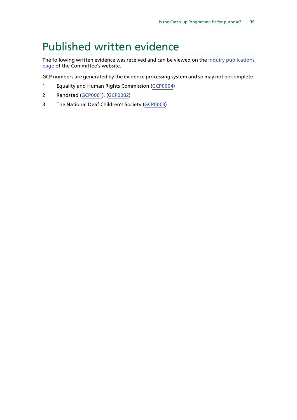# <span id="page-39-0"></span>Published written evidence

The following written evidence was received and can be viewed on the [inquiry publications](https://committees.parliament.uk/work/1667/default/publications/written-evidence/) [page](https://committees.parliament.uk/work/1667/default/publications/written-evidence/) of the Committee's website.

GCP numbers are generated by the evidence processing system and so may not be complete.

- 1 Equality and Human Rights Commission [\(GCP0004\)](https://committees.parliament.uk/writtenevidence/43763/default/)
- 2 Randstad [\(GCP0001\)](https://committees.parliament.uk/writtenevidence/41479/default/), [\(GCP0002](https://committees.parliament.uk/writtenevidence/42837/default/))
- 3 The National Deaf Children's Society [\(GCP0003](https://committees.parliament.uk/writtenevidence/43277/html/))